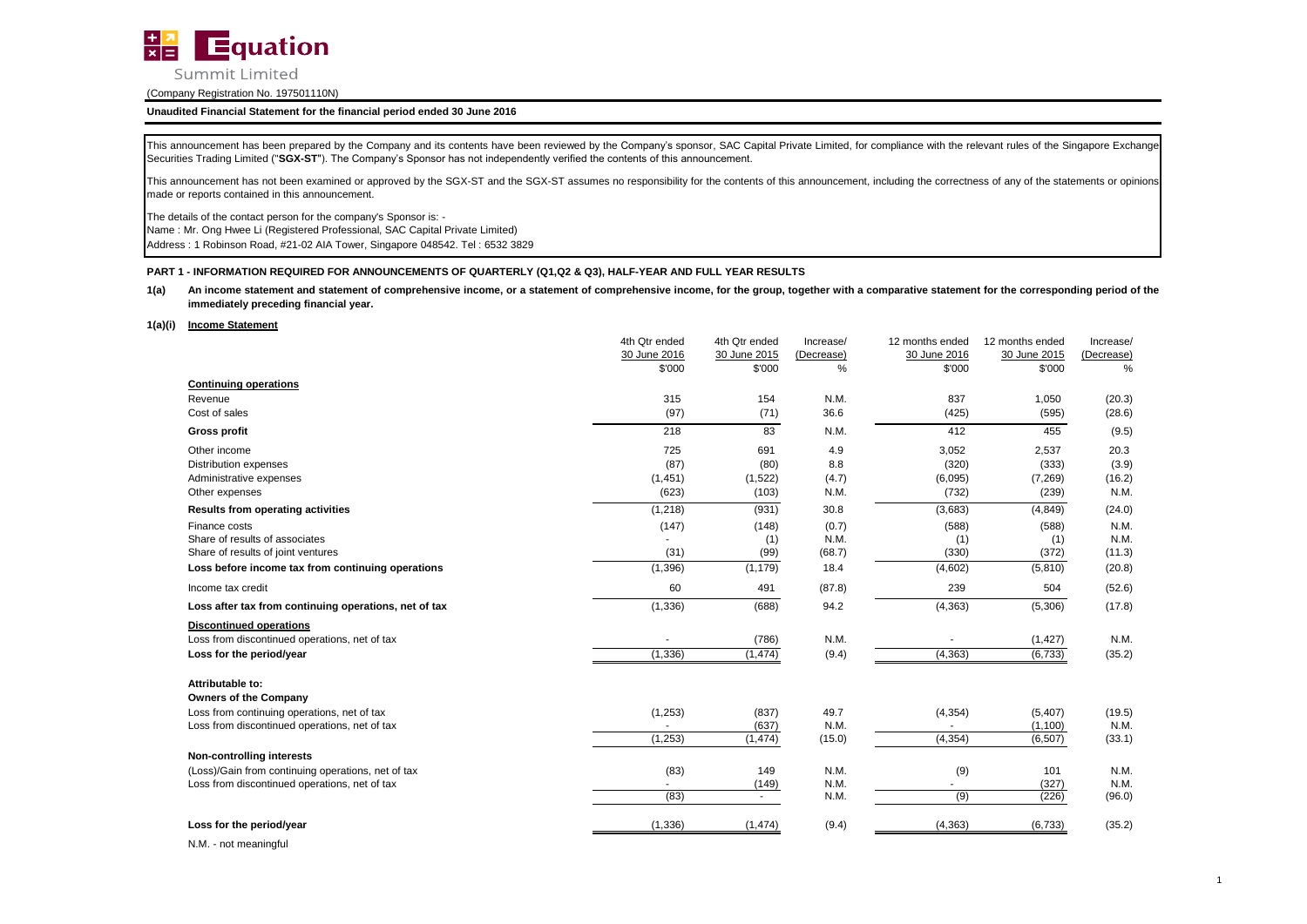

## **Unaudited Financial Statement for the financial period ended 30 June 2016**

This announcement has been prepared by the Company and its contents have been reviewed by the Company's sponsor, SAC Capital Private Limited, for compliance with the relevant rules of the Singapore Exchange Securities Trading Limited ("**SGX-ST**"). The Company's Sponsor has not independently verified the contents of this announcement.

This announcement has not been examined or approved by the SGX-ST and the SGX-ST assumes no responsibility for the contents of this announcement, including the correctness of any of the statements or opinions made or reports contained in this announcement.

The details of the contact person for the company's Sponsor is: -

Name : Mr. Ong Hwee Li (Registered Professional, SAC Capital Private Limited)

Address : 1 Robinson Road, #21-02 AIA Tower, Singapore 048542. Tel : 6532 3829

### **PART 1 - INFORMATION REQUIRED FOR ANNOUNCEMENTS OF QUARTERLY (Q1,Q2 & Q3), HALF-YEAR AND FULL YEAR RESULTS**

#### **1(a)** An income statement and statement of comprehensive income, or a statement of comprehensive income, for the group, together with a comparative statement for the corresponding period of the **immediately preceding financial year.**

#### **1(a)(i) Income Statement**

|                                                       | 4th Qtr ended | 4th Qtr ended | Increase/  | 12 months ended | 12 months ended | Increase/  |
|-------------------------------------------------------|---------------|---------------|------------|-----------------|-----------------|------------|
|                                                       | 30 June 2016  | 30 June 2015  | (Decrease) | 30 June 2016    | 30 June 2015    | (Decrease) |
|                                                       | \$'000        | \$'000        | %          | \$'000          | \$'000          | %          |
| <b>Continuing operations</b>                          |               |               |            |                 |                 |            |
| Revenue                                               | 315           | 154           | N.M.       | 837             | 1,050           | (20.3)     |
| Cost of sales                                         | (97)          | (71)          | 36.6       | (425)           | (595)           | (28.6)     |
| <b>Gross profit</b>                                   | 218           | 83            | N.M.       | 412             | 455             | (9.5)      |
| Other income                                          | 725           | 691           | 4.9        | 3,052           | 2,537           | 20.3       |
| <b>Distribution expenses</b>                          | (87)          | (80)          | 8.8        | (320)           | (333)           | (3.9)      |
| Administrative expenses                               | (1, 451)      | (1,522)       | (4.7)      | (6,095)         | (7, 269)        | (16.2)     |
| Other expenses                                        | (623)         | (103)         | N.M.       | (732)           | (239)           | N.M.       |
| <b>Results from operating activities</b>              | (1, 218)      | (931)         | 30.8       | (3,683)         | (4, 849)        | (24.0)     |
| Finance costs                                         | (147)         | (148)         | (0.7)      | (588)           | (588)           | N.M.       |
| Share of results of associates                        |               | (1)           | N.M.       | (1)             | (1)             | N.M.       |
| Share of results of joint ventures                    | (31)          | (99)          | (68.7)     | (330)           | (372)           | (11.3)     |
| Loss before income tax from continuing operations     | (1, 396)      | (1, 179)      | 18.4       | (4,602)         | (5,810)         | (20.8)     |
| Income tax credit                                     | 60            | 491           | (87.8)     | 239             | 504             | (52.6)     |
| Loss after tax from continuing operations, net of tax | (1, 336)      | (688)         | 94.2       | (4, 363)        | (5,306)         | (17.8)     |
| <b>Discontinued operations</b>                        |               |               |            |                 |                 |            |
| Loss from discontinued operations, net of tax         |               | (786)         | N.M.       |                 | (1, 427)        | N.M.       |
| Loss for the period/year                              | (1, 336)      | (1, 474)      | (9.4)      | (4, 363)        | (6,733)         | (35.2)     |
| Attributable to:                                      |               |               |            |                 |                 |            |
| <b>Owners of the Company</b>                          |               |               |            |                 |                 |            |
| Loss from continuing operations, net of tax           | (1,253)       | (837)         | 49.7       | (4, 354)        | (5,407)         | (19.5)     |
| Loss from discontinued operations, net of tax         |               | (637)         | N.M.       |                 | (1,100)         | N.M.       |
|                                                       | (1, 253)      | (1, 474)      | (15.0)     | (4, 354)        | (6,507)         | (33.1)     |
| Non-controlling interests                             |               |               |            |                 |                 |            |
| (Loss)/Gain from continuing operations, net of tax    | (83)          | 149           | N.M.       | (9)             | 101             | N.M.       |
| Loss from discontinued operations, net of tax         |               | (149)         | N.M.       |                 | (327)           | N.M.       |
|                                                       | (83)          | $\sim$        | N.M.       | (9)             | (226)           | (96.0)     |
| Loss for the period/year                              | (1, 336)      | (1, 474)      | (9.4)      | (4, 363)        | (6,733)         | (35.2)     |
| N <sub>N</sub>                                        |               |               |            |                 |                 |            |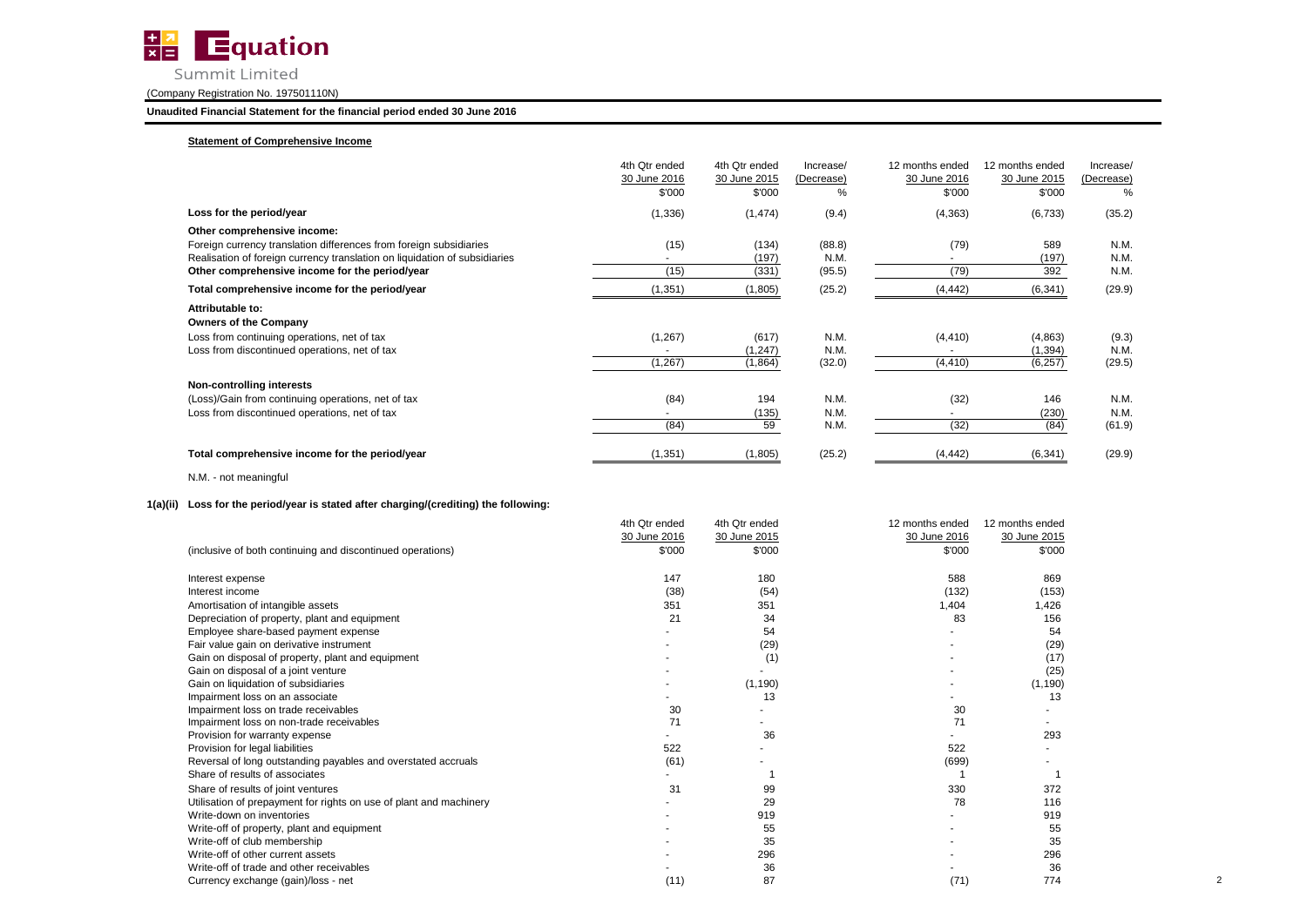

**Unaudited Financial Statement for the financial period ended 30 June 2016**

### **Statement of Comprehensive Income**

|                                                                                                                              | 4th Qtr ended<br>30 June 2016<br>\$'000 | 4th Qtr ended<br>30 June 2015<br>\$'000 | Increase/<br>(Decrease)<br>℅ | 12 months ended<br>30 June 2016<br>\$'000 | 12 months ended<br>30 June 2015<br>\$'000 | Increase/<br>(Decrease)<br>% |
|------------------------------------------------------------------------------------------------------------------------------|-----------------------------------------|-----------------------------------------|------------------------------|-------------------------------------------|-------------------------------------------|------------------------------|
| Loss for the period/year                                                                                                     | (1, 336)                                | (1, 474)                                | (9.4)                        | (4, 363)                                  | (6,733)                                   | (35.2)                       |
| Other comprehensive income:<br>Foreign currency translation differences from foreign subsidiaries                            | (15)                                    | (134)                                   | (88.8)                       | (79)                                      | 589                                       | N.M.                         |
| Realisation of foreign currency translation on liquidation of subsidiaries<br>Other comprehensive income for the period/year | (15)                                    | (197)<br>(331)                          | N.M.<br>(95.5)               | (79)                                      | (197)<br>392                              | N.M.<br>N.M.                 |
| Total comprehensive income for the period/year                                                                               | (1, 351)                                | (1,805)                                 | (25.2)                       | (4, 442)                                  | (6, 341)                                  | (29.9)                       |
| Attributable to:<br><b>Owners of the Company</b>                                                                             |                                         |                                         |                              |                                           |                                           |                              |
| Loss from continuing operations, net of tax                                                                                  | (1, 267)                                | (617)                                   | N.M.                         | (4, 410)                                  | (4,863)                                   | (9.3)                        |
| Loss from discontinued operations, net of tax                                                                                | (1, 267)                                | (1, 247)<br>(1,864)                     | N.M.<br>(32.0)               | (4, 410)                                  | (1, 394)<br>(6, 257)                      | N.M.<br>(29.5)               |
| Non-controlling interests                                                                                                    |                                         |                                         |                              |                                           |                                           |                              |
| (Loss)/Gain from continuing operations, net of tax                                                                           | (84)                                    | 194                                     | N.M.                         | (32)                                      | 146                                       | N.M.                         |
| Loss from discontinued operations, net of tax                                                                                |                                         | (135)                                   | N.M.                         |                                           | (230)                                     | N.M.                         |
|                                                                                                                              | (84)                                    | 59                                      | N.M.                         | (32)                                      | (84)                                      | (61.9)                       |
| Total comprehensive income for the period/year                                                                               | (1, 351)                                | (1,805)                                 | (25.2)                       | (4, 442)                                  | (6, 341)                                  | (29.9)                       |

N.M. - not meaningful

## **1(a)(ii) Loss for the period/year is stated after charging/(crediting) the following:**

|                                                                    | 4th Qtr ended | 4th Qtr ended | 12 months ended          | 12 months ended |  |
|--------------------------------------------------------------------|---------------|---------------|--------------------------|-----------------|--|
|                                                                    | 30 June 2016  | 30 June 2015  | 30 June 2016             | 30 June 2015    |  |
| (inclusive of both continuing and discontinued operations)         | \$'000        | \$'000        | \$'000                   | \$'000          |  |
| Interest expense                                                   | 147           | 180           | 588                      | 869             |  |
| Interest income                                                    | (38)          | (54)          | (132)                    | (153)           |  |
| Amortisation of intangible assets                                  | 351           | 351           | 1,404                    | 1,426           |  |
| Depreciation of property, plant and equipment                      | 21            | 34            | 83                       | 156             |  |
| Employee share-based payment expense                               |               | 54            |                          | 54              |  |
| Fair value gain on derivative instrument                           |               | (29)          |                          | (29)            |  |
| Gain on disposal of property, plant and equipment                  |               | (1)           |                          | (17)            |  |
| Gain on disposal of a joint venture                                |               |               |                          | (25)            |  |
| Gain on liquidation of subsidiaries                                |               | (1, 190)      |                          | (1, 190)        |  |
| Impairment loss on an associate                                    |               | 13            |                          | 13              |  |
| Impairment loss on trade receivables                               | 30            |               | 30                       |                 |  |
| Impairment loss on non-trade receivables                           | 71            |               | 71                       |                 |  |
| Provision for warranty expense                                     |               | 36            |                          | 293             |  |
| Provision for legal liabilities                                    | 522           |               | 522                      |                 |  |
| Reversal of long outstanding payables and overstated accruals      | (61)          |               | (699)                    |                 |  |
| Share of results of associates                                     |               |               |                          |                 |  |
| Share of results of joint ventures                                 | 31            | 99            | 330                      | 372             |  |
| Utilisation of prepayment for rights on use of plant and machinery |               | 29            | 78                       | 116             |  |
| Write-down on inventories                                          |               | 919           |                          | 919             |  |
| Write-off of property, plant and equipment                         |               | 55            | $\overline{\phantom{a}}$ | 55              |  |
| Write-off of club membership                                       |               | 35            |                          | 35              |  |
| Write-off of other current assets                                  |               | 296           |                          | 296             |  |
| Write-off of trade and other receivables                           |               | 36            |                          | 36              |  |
| Currency exchange (gain)/loss - net                                | (11)          | 87            | (71)                     | 774             |  |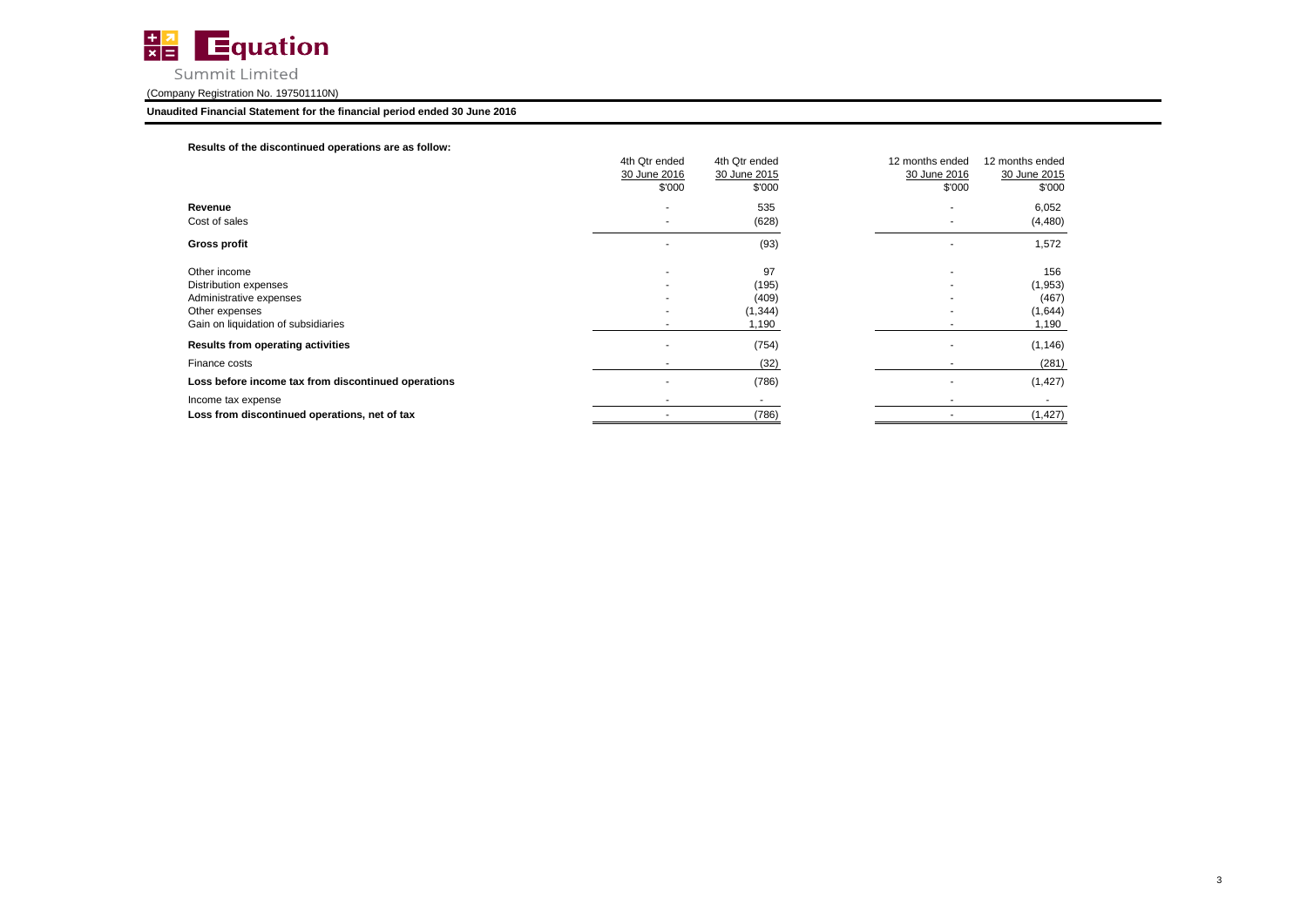

### **Unaudited Financial Statement for the financial period ended 30 June 2016**

### **Results of the discontinued operations are as follow:**

|                                                     | 4th Qtr ended<br>30 June 2016<br>\$'000 | 4th Qtr ended<br>30 June 2015<br>\$'000 | 12 months ended<br>12 months ended<br>30 June 2016<br>30 June 2015<br>\$'000<br>\$'000 |
|-----------------------------------------------------|-----------------------------------------|-----------------------------------------|----------------------------------------------------------------------------------------|
| Revenue                                             |                                         | 535                                     | 6,052                                                                                  |
| Cost of sales                                       |                                         | (628)                                   | (4, 480)<br>$\overline{\phantom{a}}$                                                   |
| Gross profit                                        |                                         | (93)                                    | 1,572                                                                                  |
| Other income                                        |                                         | 97                                      | 156<br>$\overline{\phantom{a}}$                                                        |
| Distribution expenses                               |                                         | (195)                                   | (1,953)<br>$\overline{\phantom{a}}$                                                    |
| Administrative expenses                             |                                         | (409)                                   | (467)<br>$\overline{\phantom{a}}$                                                      |
| Other expenses                                      |                                         | (1, 344)                                | (1,644)                                                                                |
| Gain on liquidation of subsidiaries                 |                                         | 1,190                                   | 1,190                                                                                  |
| Results from operating activities                   |                                         | (754)                                   | (1, 146)                                                                               |
| Finance costs                                       |                                         | (32)                                    | (281)                                                                                  |
| Loss before income tax from discontinued operations |                                         | (786)                                   | (1, 427)                                                                               |
| Income tax expense                                  |                                         |                                         |                                                                                        |
| Loss from discontinued operations, net of tax       |                                         | (786)                                   | (1, 427)<br>$\overline{\phantom{a}}$                                                   |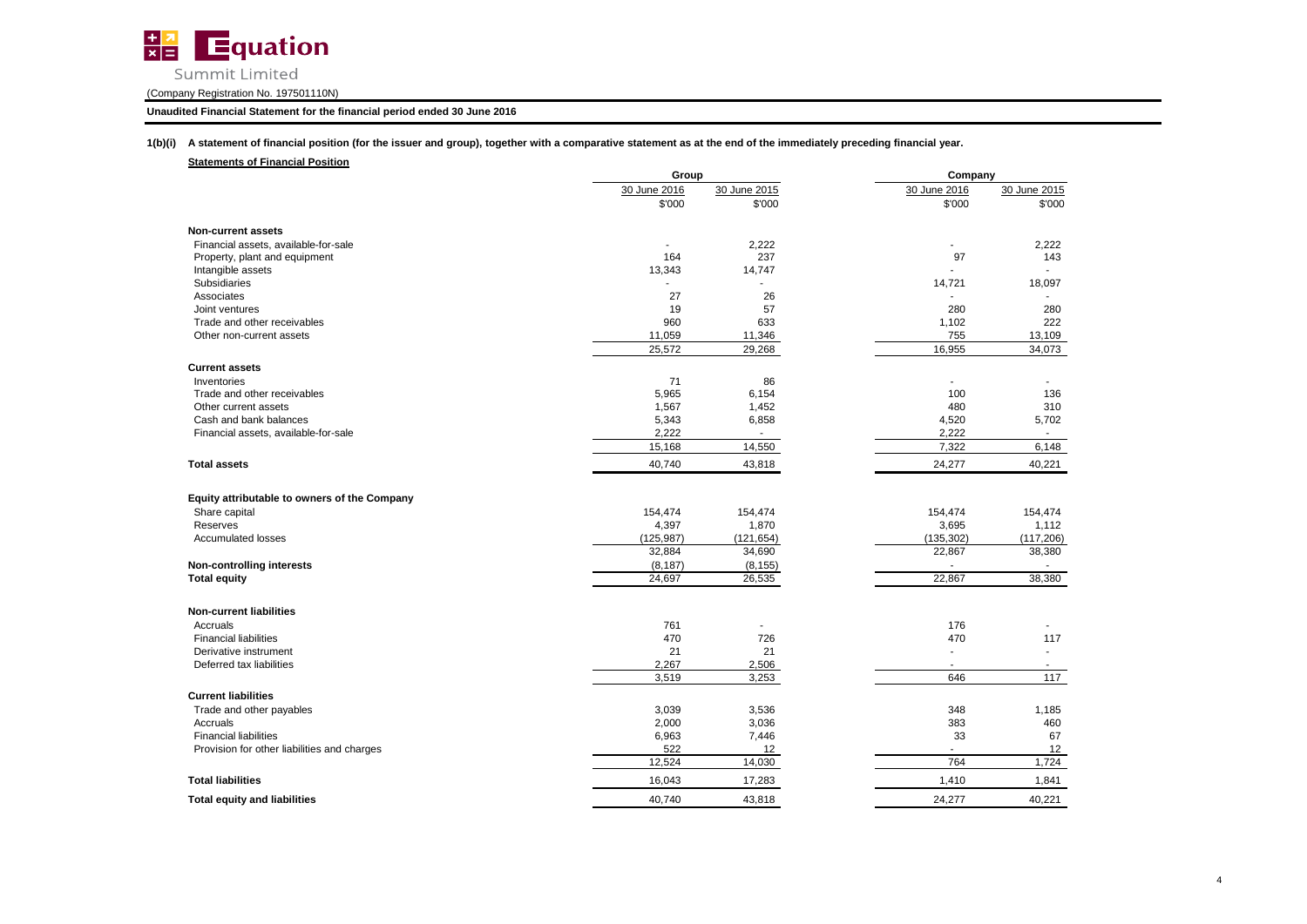

### **Unaudited Financial Statement for the financial period ended 30 June 2016**

**1(b)(i) A statement of financial position (for the issuer and group), together with a comparative statement as at the end of the immediately preceding financial year.**

|                                              | Group          |              | Company        |              |
|----------------------------------------------|----------------|--------------|----------------|--------------|
|                                              | 30 June 2016   | 30 June 2015 | 30 June 2016   | 30 June 2015 |
|                                              | \$'000         | \$'000       | \$'000         | \$'000       |
| <b>Non-current assets</b>                    |                |              |                |              |
| Financial assets, available-for-sale         | $\blacksquare$ | 2,222        | $\blacksquare$ | 2,222        |
| Property, plant and equipment                | 164            | 237          | 97             | 143          |
| Intangible assets                            | 13,343         | 14,747       |                |              |
| Subsidiaries                                 |                |              | 14,721         | 18,097       |
| Associates                                   | 27             | 26           |                |              |
| Joint ventures                               | 19             | 57           | 280            | 280          |
| Trade and other receivables                  | 960            | 633          | 1,102          | 222          |
| Other non-current assets                     | 11,059         | 11,346       | 755            | 13,109       |
|                                              | 25,572         | 29,268       | 16,955         | 34,073       |
| <b>Current assets</b>                        |                |              |                |              |
| Inventories                                  | 71             | 86           |                |              |
| Trade and other receivables                  | 5,965          | 6,154        | 100            | 136          |
| Other current assets                         | 1,567          | 1,452        | 480            | 310          |
| Cash and bank balances                       | 5,343          | 6,858        | 4,520          | 5,702        |
| Financial assets, available-for-sale         | 2,222          | ٠            | 2,222          | $\sim$       |
|                                              | 15,168         | 14,550       | 7,322          | 6,148        |
| <b>Total assets</b>                          | 40,740         | 43,818       | 24,277         | 40,221       |
|                                              |                |              |                |              |
| Equity attributable to owners of the Company |                |              |                |              |
| Share capital                                | 154,474        | 154,474      | 154,474        | 154,474      |
| Reserves                                     | 4,397          | 1,870        | 3,695          | 1,112        |
| <b>Accumulated losses</b>                    | (125, 987)     | (121, 654)   | (135, 302)     | (117, 206)   |
|                                              | 32,884         | 34,690       | 22,867         | 38,380       |
| <b>Non-controlling interests</b>             | (8, 187)       | (8, 155)     | $\blacksquare$ | $\sim$       |
| <b>Total equity</b>                          | 24,697         | 26,535       | 22,867         | 38,380       |
| <b>Non-current liabilities</b>               |                |              |                |              |
| Accruals                                     | 761            |              | 176            |              |
| <b>Financial liabilities</b>                 | 470            | 726          | 470            | 117          |
| Derivative instrument                        | 21             | 21           | ÷.             |              |
| Deferred tax liabilities                     | 2,267          | 2,506        | $\overline{a}$ |              |
|                                              | 3,519          | 3,253        | 646            | 117          |
| <b>Current liabilities</b>                   |                |              |                |              |
|                                              |                |              |                |              |
| Trade and other payables                     | 3,039          | 3,536        | 348            | 1,185        |
| Accruals                                     | 2,000          | 3,036        | 383            | 460          |
| <b>Financial liabilities</b>                 | 6,963          | 7,446        | 33             | 67           |
| Provision for other liabilities and charges  | 522            | 12           | $\blacksquare$ | 12           |
|                                              | 12,524         | 14,030       | 764            | 1,724        |
| <b>Total liabilities</b>                     | 16,043         | 17,283       | 1,410          | 1,841        |
| <b>Total equity and liabilities</b>          | 40.740         | 43,818       | 24,277         | 40,221       |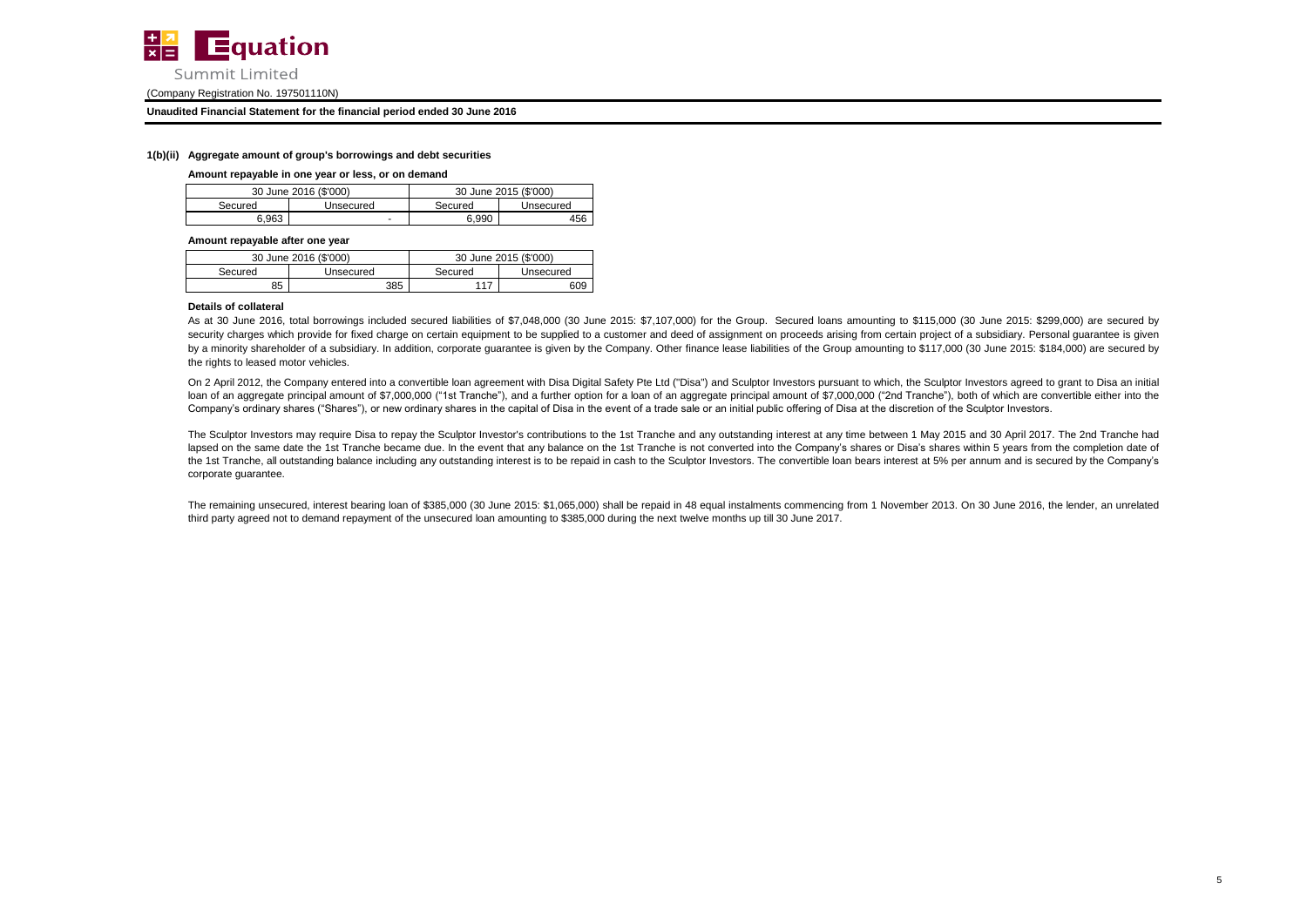

#### **Unaudited Financial Statement for the financial period ended 30 June 2016**

#### **1(b)(ii) Aggregate amount of group's borrowings and debt securities**

#### **Amount repayable in one year or less, or on demand**

| 30 June 2016 (\$'000) |           | 30 June 2015 (\$'000) |           |  |
|-----------------------|-----------|-----------------------|-----------|--|
| Secured               | Unsecured | Secured               | Unsecured |  |
| 6.963                 | ۰         | 6.990                 | 456       |  |

**Amount repayable after one year**

| 30 June 2016 (\$'000) |           |         | 30 June 2015 (\$'000) |
|-----------------------|-----------|---------|-----------------------|
| Secured               | Unsecured | Secured | Unsecured             |
| 85                    | 385       |         | 609                   |

#### **Details of collateral**

As at 30 June 2016, total borrowings included secured liabilities of \$7,048,000 (30 June 2015: \$7,107,000) for the Group. Secured loans amounting to \$115,000 (30 June 2015: \$299,000) are secured by security charges which provide for fixed charge on certain equipment to be supplied to a customer and deed of assignment on proceeds arising from certain project of a subsidiary. Personal quarantee is given by a minority shareholder of a subsidiary. In addition, corporate guarantee is given by the Company. Other finance lease liabilities of the Group amounting to \$117,000 (30 June 2015: \$184,000) are secured by the rights to leased motor vehicles.

On 2 April 2012, the Company entered into a convertible loan agreement with Disa Digital Safety Pte Ltd ("Disa") and Sculptor Investors pursuant to which, the Sculptor Investors agreed to grant to Disa an initial loan of an aggregate principal amount of \$7,000,000 ("1st Tranche"), and a further option for a loan of an aggregate principal amount of \$7,000,000 ("2nd Tranche"), both of which are convertible either into the Company's ordinary shares ("Shares"), or new ordinary shares in the capital of Disa in the event of a trade sale or an initial public offering of Disa at the discretion of the Sculptor Investors.

The Sculptor Investors may require Disa to repay the Sculptor Investor's contributions to the 1st Tranche and any outstanding interest at any time between 1 May 2015 and 30 April 2017. The 2nd Tranche had lapsed on the same date the 1st Tranche became due. In the event that any balance on the 1st Tranche is not converted into the Company's shares or Disa's shares within 5 years from the completion date of the 1st Tranche, all outstanding balance including any outstanding interest is to be repaid in cash to the Sculptor Investors. The convertible loan bears interest at 5% per annum and is secured by the Company's corporate guarantee.

The remaining unsecured, interest bearing loan of \$385,000 (30 June 2015: \$1,065,000) shall be repaid in 48 equal instalments commencing from 1 November 2013. On 30 June 2016, the lender, an unrelated third party agreed not to demand repayment of the unsecured loan amounting to \$385,000 during the next twelve months up till 30 June 2017.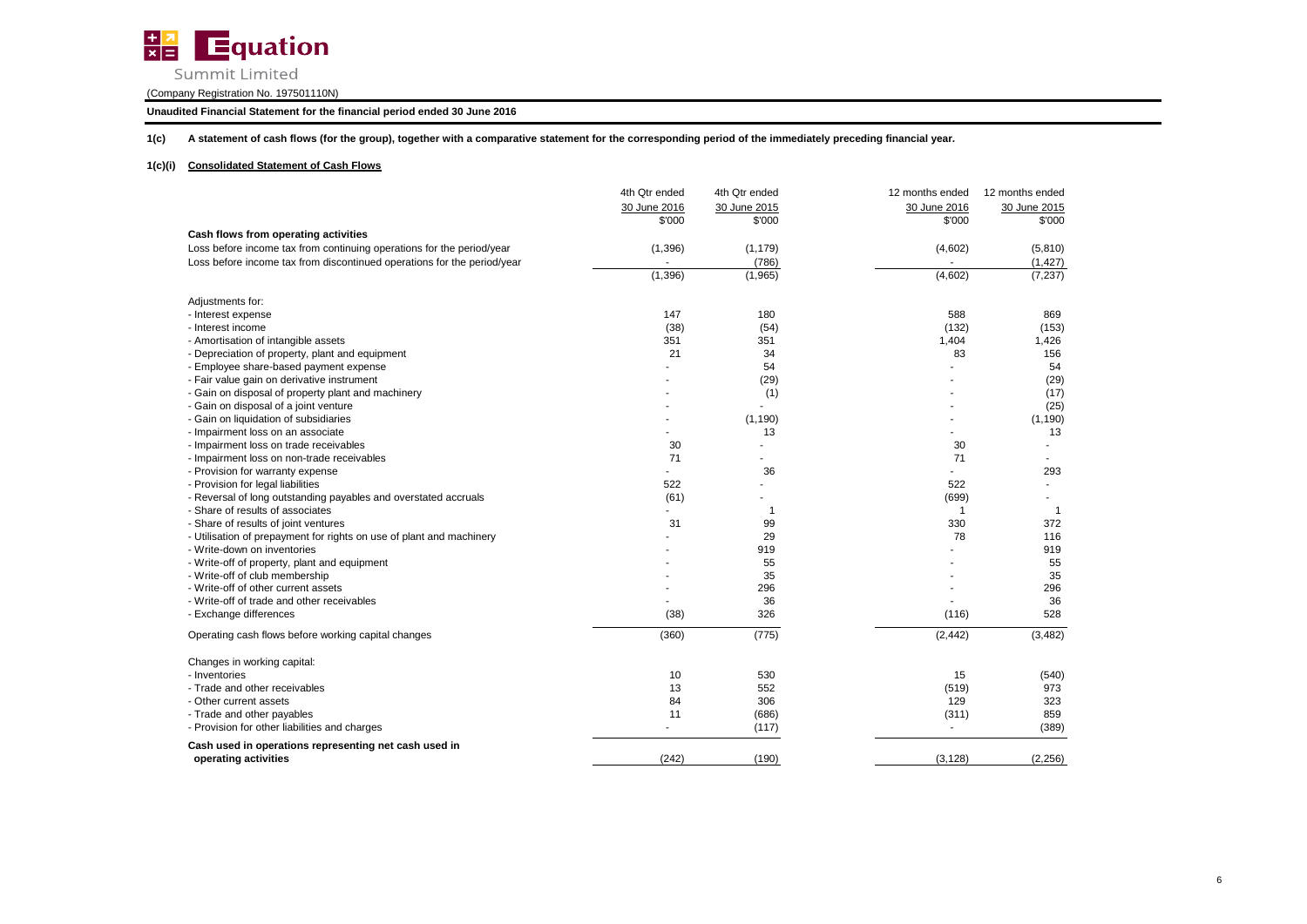

Summit Limited

(Company Registration No. 197501110N)

### **Unaudited Financial Statement for the financial period ended 30 June 2016**

**1(c) A statement of cash flows (for the group), together with a comparative statement for the corresponding period of the immediately preceding financial year.**

### **1(c)(i) Consolidated Statement of Cash Flows**

|                                                                         | 4th Qtr ended | 4th Qtr ended  | 12 months ended | 12 months ended |
|-------------------------------------------------------------------------|---------------|----------------|-----------------|-----------------|
|                                                                         | 30 June 2016  | 30 June 2015   | 30 June 2016    | 30 June 2015    |
|                                                                         | \$'000        | \$'000         | \$'000          | \$'000          |
| Cash flows from operating activities                                    |               |                |                 |                 |
| Loss before income tax from continuing operations for the period/year   | (1, 396)      | (1, 179)       | (4,602)         | (5,810)         |
| Loss before income tax from discontinued operations for the period/year |               | (786)          |                 | (1, 427)        |
|                                                                         | (1, 396)      | (1,965)        | (4,602)         | (7, 237)        |
| Adjustments for:                                                        |               |                |                 |                 |
| - Interest expense                                                      | 147           | 180            | 588             | 869             |
| - Interest income                                                       | (38)          | (54)           | (132)           | (153)           |
| - Amortisation of intangible assets                                     | 351           | 351            | 1,404           | 1,426           |
| - Depreciation of property, plant and equipment                         | 21            | 34             | 83              | 156             |
| - Employee share-based payment expense                                  |               | 54             |                 | 54              |
| - Fair value gain on derivative instrument                              |               | (29)           |                 | (29)            |
| - Gain on disposal of property plant and machinery                      |               | (1)            |                 | (17)            |
| - Gain on disposal of a joint venture                                   |               |                |                 | (25)            |
| - Gain on liquidation of subsidiaries                                   |               | (1, 190)       |                 | (1, 190)        |
| - Impairment loss on an associate                                       |               | 13             |                 | 13              |
| - Impairment loss on trade receivables                                  | 30            |                | 30              |                 |
| - Impairment loss on non-trade receivables                              | 71            |                | 71              |                 |
| - Provision for warranty expense                                        |               | 36             |                 | 293             |
| - Provision for legal liabilities                                       | 522           |                | 522             |                 |
| - Reversal of long outstanding payables and overstated accruals         | (61)          |                | (699)           |                 |
| - Share of results of associates                                        |               | $\overline{1}$ | $\overline{1}$  | -1              |
| - Share of results of joint ventures                                    | 31            | 99             | 330             | 372             |
| - Utilisation of prepayment for rights on use of plant and machinery    |               | 29             | 78              | 116             |
| - Write-down on inventories                                             |               | 919            |                 | 919             |
| - Write-off of property, plant and equipment                            |               | 55             |                 | 55              |
| - Write-off of club membership                                          |               | 35             |                 | 35              |
| - Write-off of other current assets                                     |               | 296            |                 | 296             |
| - Write-off of trade and other receivables                              |               | 36             |                 | 36              |
| - Exchange differences                                                  | (38)          | 326            | (116)           | 528             |
| Operating cash flows before working capital changes                     | (360)         | (775)          | (2, 442)        | (3, 482)        |
| Changes in working capital:                                             |               |                |                 |                 |
| - Inventories                                                           | 10            | 530            | 15              | (540)           |
| - Trade and other receivables                                           | 13            | 552            | (519)           | 973             |
| - Other current assets                                                  | 84            | 306            | 129             | 323             |
| - Trade and other payables                                              | 11            | (686)          | (311)           | 859             |
| - Provision for other liabilities and charges                           | $\mathbf{r}$  | (117)          | $\blacksquare$  | (389)           |
| Cash used in operations representing net cash used in                   |               |                |                 |                 |
| operating activities                                                    | (242)         | (190)          | (3, 128)        | (2, 256)        |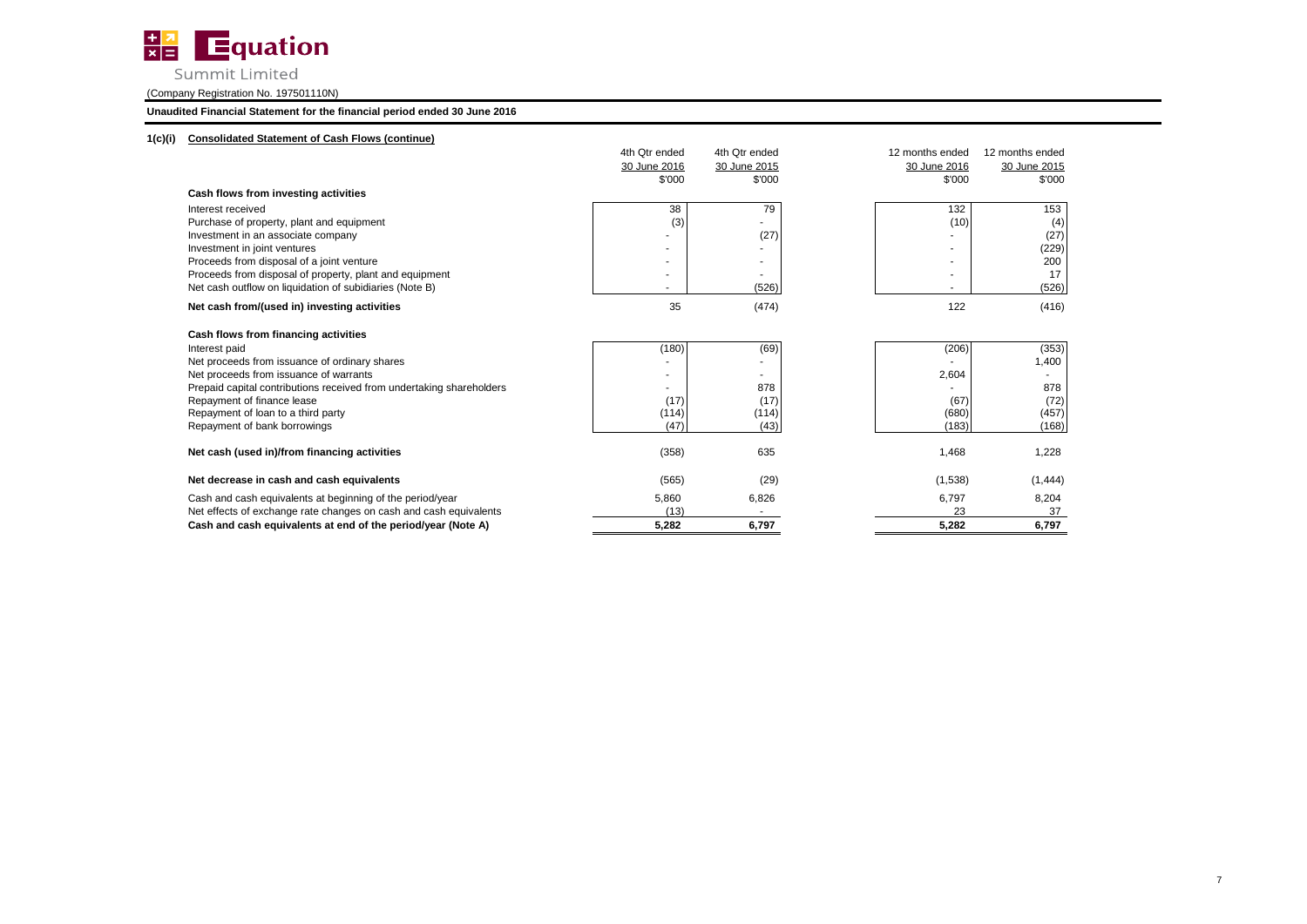

Summit Limited

(Company Registration No. 197501110N)

### **Unaudited Financial Statement for the financial period ended 30 June 2016**

## **1(c)(i) Consolidated Statement of Cash Flows (continue)**

|                                                                      | 4th Qtr ended | 4th Qtr ended | 12 months ended          | 12 months ended |
|----------------------------------------------------------------------|---------------|---------------|--------------------------|-----------------|
|                                                                      | 30 June 2016  | 30 June 2015  | 30 June 2016             | 30 June 2015    |
|                                                                      | \$'000        | \$'000        | \$'000                   | \$'000          |
| Cash flows from investing activities                                 |               |               |                          |                 |
| Interest received                                                    | 38            | 79            | 132                      | 153             |
| Purchase of property, plant and equipment                            | (3)           |               | (10)                     | (4)             |
| Investment in an associate company                                   |               | (27)          |                          | (27)            |
| Investment in joint ventures                                         |               |               |                          | (229)           |
| Proceeds from disposal of a joint venture                            |               |               |                          | 200             |
| Proceeds from disposal of property, plant and equipment              |               |               | $\overline{\phantom{a}}$ | 17              |
| Net cash outflow on liquidation of subidiaries (Note B)              |               | (526)         | ٠                        | (526)           |
| Net cash from/(used in) investing activities                         | 35            | (474)         | 122                      | (416)           |
| Cash flows from financing activities                                 |               |               |                          |                 |
| Interest paid                                                        | (180)         | (69)          | (206)                    | (353)           |
| Net proceeds from issuance of ordinary shares                        |               |               |                          | 1,400           |
| Net proceeds from issuance of warrants                               |               |               | 2,604                    | ۰               |
| Prepaid capital contributions received from undertaking shareholders |               | 878           |                          | 878             |
| Repayment of finance lease                                           | (17)          | (17)          | (67)                     | (72)            |
| Repayment of loan to a third party                                   | (114)         | (114)         | (680)                    | (457)           |
| Repayment of bank borrowings                                         | (47)          | (43)          | (183)                    | (168)           |
| Net cash (used in)/from financing activities                         | (358)         | 635           | 1,468                    | 1,228           |
| Net decrease in cash and cash equivalents                            | (565)         | (29)          | (1,538)                  | (1, 444)        |
| Cash and cash equivalents at beginning of the period/year            | 5,860         | 6,826         | 6,797                    | 8,204           |
| Net effects of exchange rate changes on cash and cash equivalents    | (13)          |               | 23                       | 37              |
| Cash and cash equivalents at end of the period/year (Note A)         | 5,282         | 6,797         | 5,282                    | 6,797           |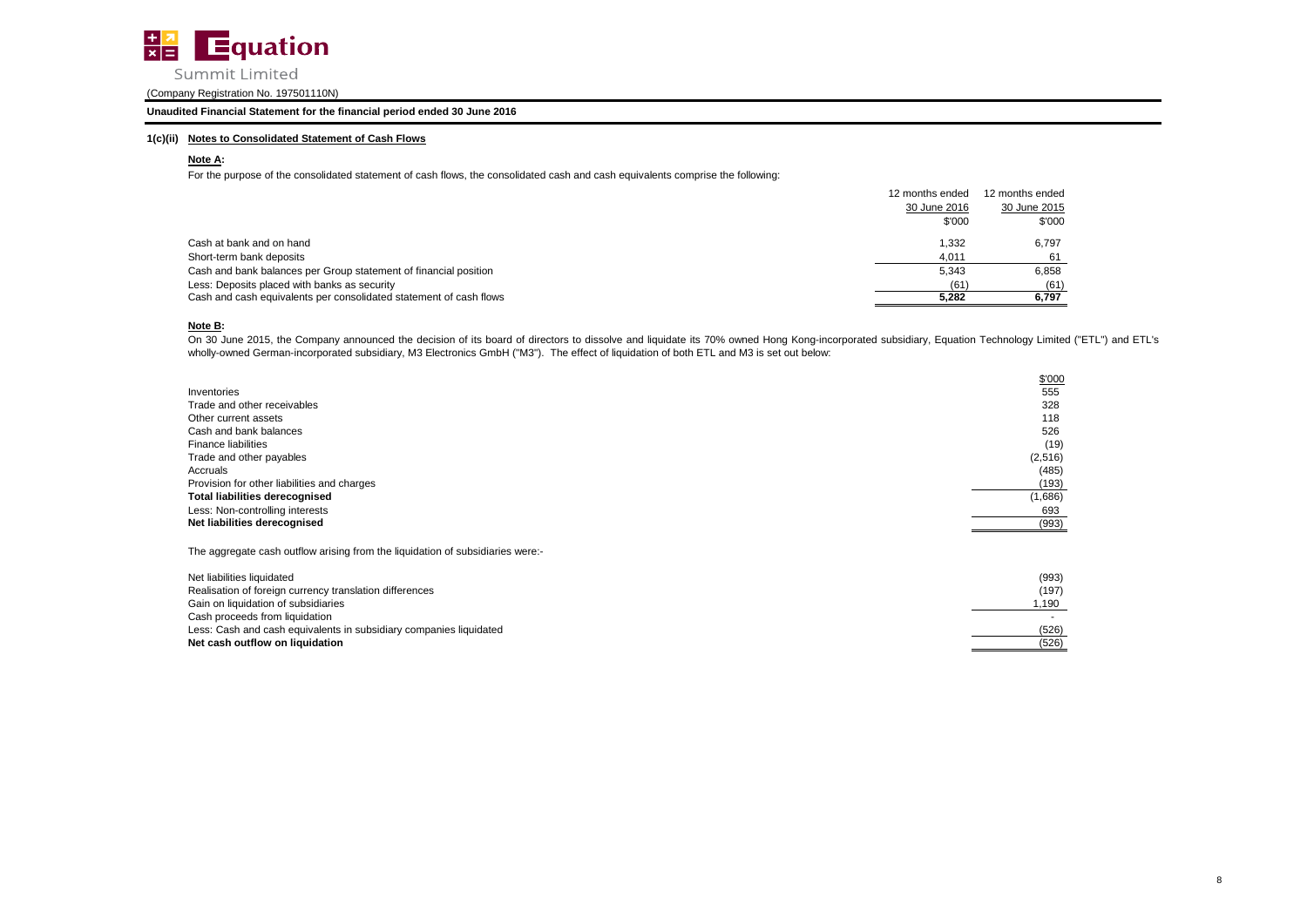

**Unaudited Financial Statement for the financial period ended 30 June 2016**

### **1(c)(ii) Notes to Consolidated Statement of Cash Flows**

### **Note A:**

For the purpose of the consolidated statement of cash flows, the consolidated cash and cash equivalents comprise the following:

|                                                                    | 12 months ended | 12 months ended |
|--------------------------------------------------------------------|-----------------|-----------------|
|                                                                    | 30 June 2016    | 30 June 2015    |
|                                                                    | \$'000          | \$'000          |
| Cash at bank and on hand                                           | 1,332           | 6.797           |
| Short-term bank deposits                                           | 4.011           |                 |
| Cash and bank balances per Group statement of financial position   | 5,343           | 6,858           |
| Less: Deposits placed with banks as security                       | (61)            | (61)            |
| Cash and cash equivalents per consolidated statement of cash flows | 5.282           | 6,797           |

### **Note B:**

On 30 June 2015, the Company announced the decision of its board of directors to dissolve and liquidate its 70% owned Hong Kong-incorporated subsidiary, Equation Technology Limited ("ETL") and ETL's wholly-owned German-incorporated subsidiary, M3 Electronics GmbH ("M3"). The effect of liquidation of both ETL and M3 is set out below:

|                                                                                | \$'000   |
|--------------------------------------------------------------------------------|----------|
| Inventories                                                                    | 555      |
| Trade and other receivables                                                    | 328      |
| Other current assets                                                           | 118      |
| Cash and bank balances                                                         | 526      |
| <b>Finance liabilities</b>                                                     | (19)     |
| Trade and other payables                                                       | (2, 516) |
| Accruals                                                                       | (485)    |
| Provision for other liabilities and charges                                    | (193)    |
| <b>Total liabilities derecognised</b>                                          | (1,686)  |
| Less: Non-controlling interests                                                | 693      |
| Net liabilities derecognised                                                   | (993)    |
| The aggregate cash outflow arising from the liquidation of subsidiaries were:- |          |
| Net liabilities liquidated                                                     | (993)    |
| Realisation of foreign currency translation differences                        | (197)    |
| Gain on liquidation of subsidiaries                                            | 1,190    |
| Cash proceeds from liquidation                                                 |          |
| Less: Cash and cash equivalents in subsidiary companies liquidated             | (526)    |
| Net cash outflow on liquidation                                                | (526)    |
|                                                                                |          |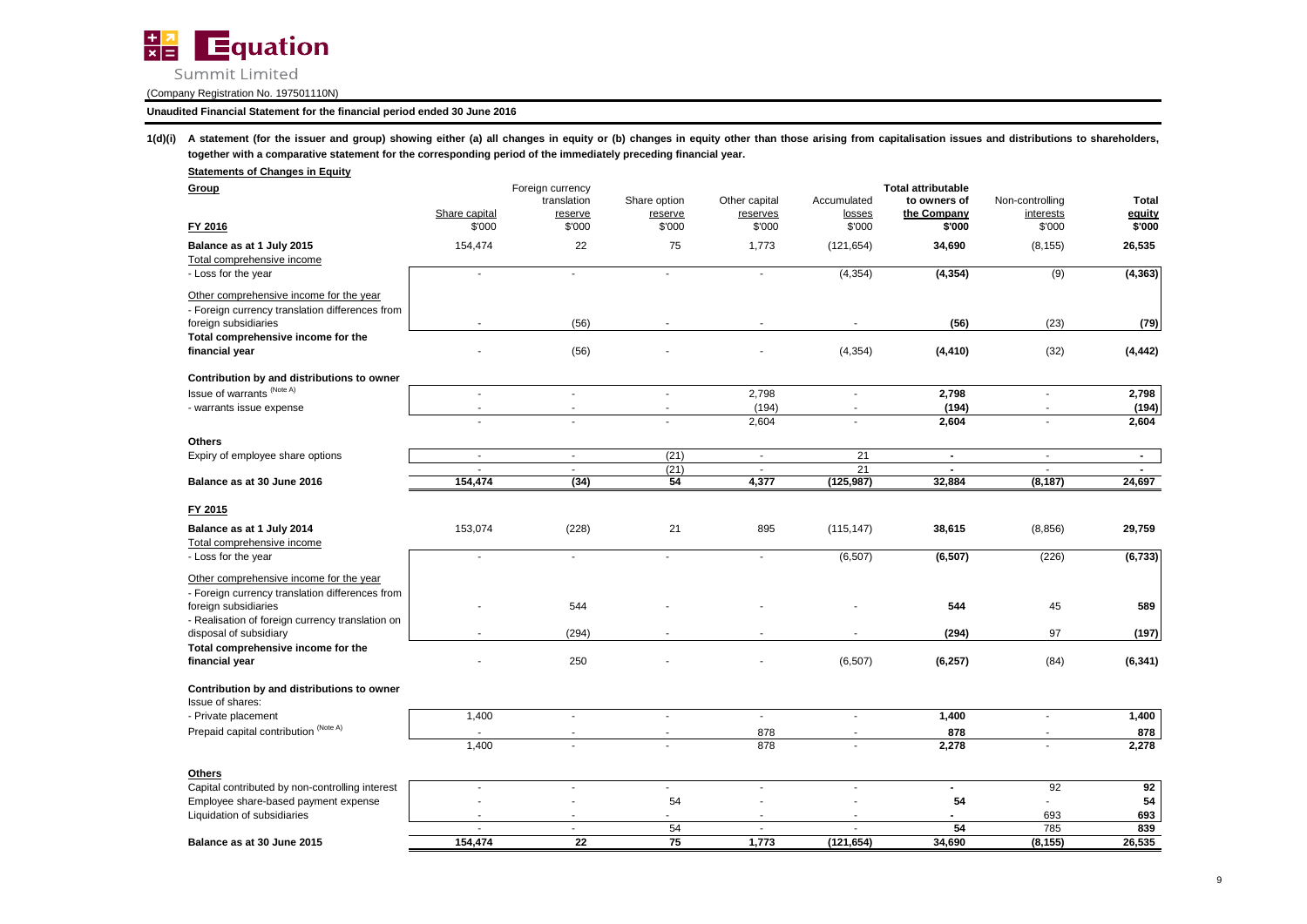

### **Unaudited Financial Statement for the financial period ended 30 June 2016**

1(d)(i) A statement (for the issuer and group) showing either (a) all changes in equity or (b) changes in equity other than those arising from capitalisation issues and distributions to shareholders, **together with a comparative statement for the corresponding period of the immediately preceding financial year.**

| <b>Statements of Changes in Equity</b>            |                         |                                 |                          |                    |                  |                                           |                     |                  |
|---------------------------------------------------|-------------------------|---------------------------------|--------------------------|--------------------|------------------|-------------------------------------------|---------------------|------------------|
| Group                                             |                         | Foreign currency<br>translation | Share option             | Other capital      | Accumulated      | <b>Total attributable</b><br>to owners of | Non-controlling     | <b>Total</b>     |
| FY 2016                                           | Share capital<br>\$'000 | reserve<br>\$'000               | reserve<br>\$'000        | reserves<br>\$'000 | losses<br>\$'000 | the Company<br>\$'000                     | interests<br>\$'000 | equity<br>\$'000 |
|                                                   |                         |                                 |                          |                    |                  |                                           |                     |                  |
| Balance as at 1 July 2015                         | 154,474                 | 22                              | 75                       | 1,773              | (121, 654)       | 34,690                                    | (8, 155)            | 26,535           |
| Total comprehensive income<br>- Loss for the year | ÷.                      |                                 | $\overline{\phantom{a}}$ | $\sim$             | (4, 354)         | (4, 354)                                  | (9)                 | (4, 363)         |
| Other comprehensive income for the year           |                         |                                 |                          |                    |                  |                                           |                     |                  |
| - Foreign currency translation differences from   |                         |                                 |                          |                    |                  |                                           |                     |                  |
| foreign subsidiaries                              |                         | (56)                            |                          | ٠                  | $\sim$           | (56)                                      | (23)                | (79)             |
| Total comprehensive income for the                |                         |                                 |                          |                    |                  |                                           |                     |                  |
| financial year                                    |                         | (56)                            |                          |                    | (4, 354)         | (4, 410)                                  | (32)                | (4, 442)         |
| Contribution by and distributions to owner        |                         |                                 |                          |                    |                  |                                           |                     |                  |
| Issue of warrants (Note A)                        | $\sim$                  | $\sim$                          | ×.                       | 2,798              | $\blacksquare$   | 2,798                                     | $\blacksquare$      | 2,798            |
| - warrants issue expense                          | ÷,                      |                                 |                          | (194)              |                  | (194)                                     |                     | (194)            |
|                                                   | $\sim$                  | ÷.                              | ÷.                       | 2,604              | $\sim$           | 2,604                                     | $\sim$              | 2,604            |
| <b>Others</b>                                     |                         |                                 |                          |                    |                  |                                           |                     |                  |
| Expiry of employee share options                  | $\blacksquare$          | $\blacksquare$                  | (21)                     | $\sim$             | 21               | $\blacksquare$                            | $\blacksquare$      | $\sim$           |
|                                                   | ÷.                      | $\sim$                          | (21)                     | $\sim$             | 21               | $\blacksquare$                            | ÷.                  | $\blacksquare$   |
| Balance as at 30 June 2016                        | 154,474                 | (34)                            | 54                       | 4,377              | (125, 987)       | 32,884                                    | (8, 187)            | 24,697           |
| FY 2015                                           |                         |                                 |                          |                    |                  |                                           |                     |                  |
| Balance as at 1 July 2014                         | 153,074                 | (228)                           | 21                       | 895                | (115, 147)       | 38,615                                    | (8, 856)            | 29,759           |
| Total comprehensive income                        |                         |                                 |                          |                    |                  |                                           |                     |                  |
| - Loss for the year                               | $\sim$                  | $\sim$                          | $\mathbf{r}$             | ÷.                 | (6,507)          | (6, 507)                                  | (226)               | (6, 733)         |
| Other comprehensive income for the year           |                         |                                 |                          |                    |                  |                                           |                     |                  |
| - Foreign currency translation differences from   |                         |                                 |                          |                    |                  |                                           |                     |                  |
| foreign subsidiaries                              |                         | 544                             |                          |                    |                  | 544                                       | 45                  | 589              |
| - Realisation of foreign currency translation on  |                         |                                 |                          |                    |                  |                                           |                     |                  |
| disposal of subsidiary                            | $\blacksquare$          | (294)                           |                          | ٠                  |                  | (294)                                     | 97                  | (197)            |
| Total comprehensive income for the                |                         |                                 |                          |                    |                  |                                           |                     |                  |
| financial year                                    |                         | 250                             |                          |                    | (6, 507)         | (6, 257)                                  | (84)                | (6, 341)         |
| Contribution by and distributions to owner        |                         |                                 |                          |                    |                  |                                           |                     |                  |
| Issue of shares:                                  |                         |                                 |                          |                    |                  |                                           |                     |                  |
| - Private placement                               | 1,400                   | ÷.                              | $\mathbf{r}$             | $\mathbb{R}^2$     | ×.               | 1,400                                     | ×.                  | 1,400            |
| Prepaid capital contribution (Note A)             |                         |                                 |                          | 878                |                  | 878                                       |                     | 878              |
|                                                   | 1,400                   |                                 |                          | 878                |                  | 2,278                                     |                     | 2,278            |
| <b>Others</b>                                     |                         |                                 |                          |                    |                  |                                           |                     |                  |
| Capital contributed by non-controlling interest   | $\sim$                  | $\sim$                          | $\blacksquare$           | $\blacksquare$     | ÷.               | $\blacksquare$                            | 92                  | 92               |
| Employee share-based payment expense              |                         |                                 | 54                       |                    |                  | 54                                        | $\blacksquare$      | 54               |
| Liquidation of subsidiaries                       |                         |                                 |                          |                    |                  |                                           | 693                 | 693              |
|                                                   | ×.                      | $\sim$                          | 54                       | ×.                 | ×.               | 54                                        | 785                 | 839              |
| Balance as at 30 June 2015                        | 154,474                 | 22                              | 75                       | 1,773              | (121, 654)       | 34,690                                    | (8, 155)            | 26,535           |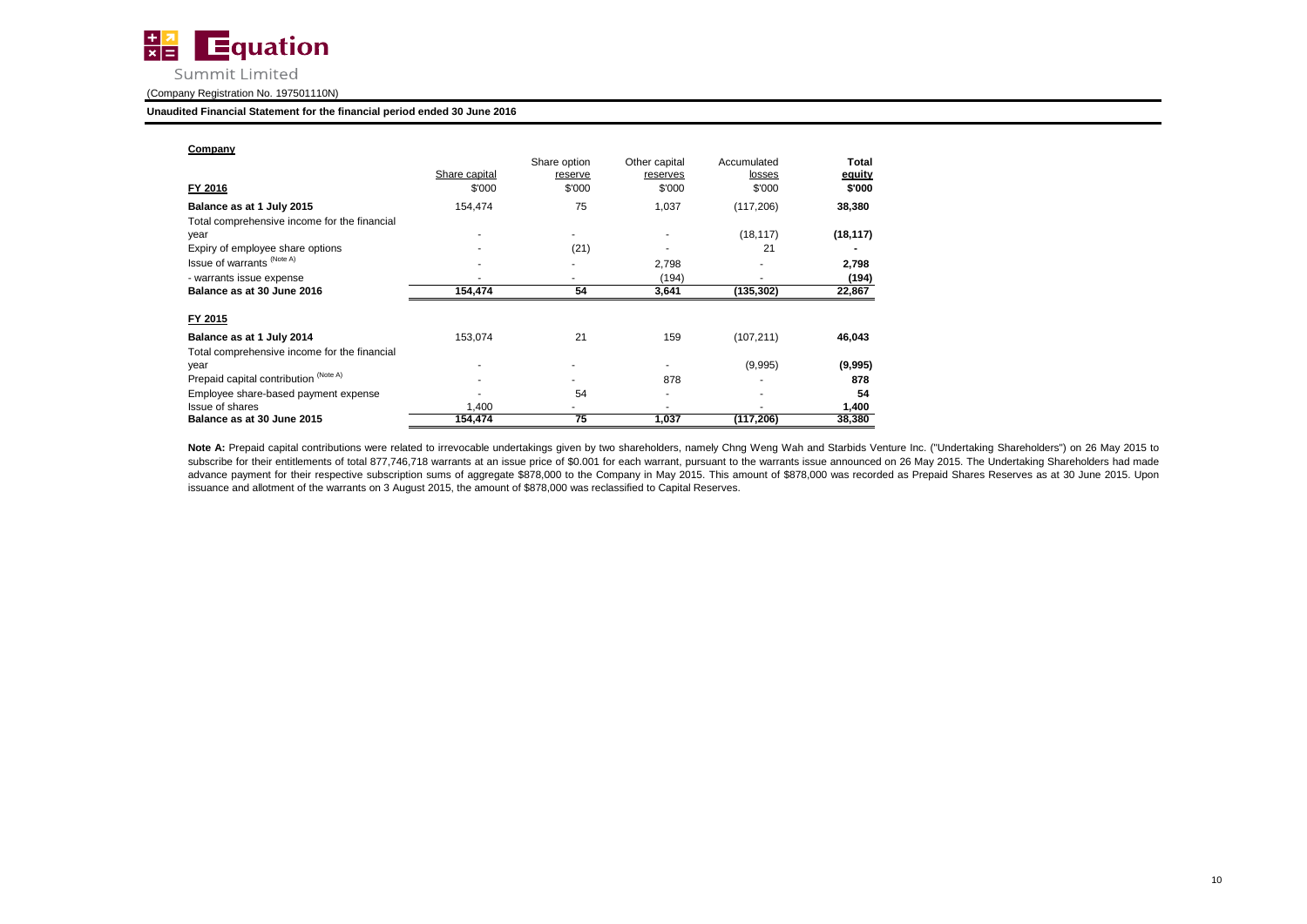

#### **Unaudited Financial Statement for the financial period ended 30 June 2016**

| Company                                      |               |                   |                          |                  |                  |
|----------------------------------------------|---------------|-------------------|--------------------------|------------------|------------------|
|                                              | Share capital | Share option      | Other capital            | Accumulated      | Total            |
| FY 2016                                      | \$'000        | reserve<br>\$'000 | reserves<br>\$'000       | losses<br>\$'000 | equity<br>\$'000 |
| Balance as at 1 July 2015                    | 154,474       | 75                | 1,037                    | (117, 206)       | 38,380           |
| Total comprehensive income for the financial |               |                   |                          |                  |                  |
| year                                         |               | ۰                 | ٠                        | (18, 117)        | (18, 117)        |
| Expiry of employee share options             |               | (21)              |                          | 21               |                  |
| Issue of warrants (Note A)                   |               |                   | 2,798                    |                  | 2,798            |
| - warrants issue expense                     |               |                   | (194)                    |                  | (194)            |
| Balance as at 30 June 2016                   | 154,474       | 54                | 3,641                    | (135,302)        | 22,867           |
| FY 2015                                      |               |                   |                          |                  |                  |
| Balance as at 1 July 2014                    | 153,074       | 21                | 159                      | (107, 211)       | 46,043           |
| Total comprehensive income for the financial |               |                   |                          |                  |                  |
| year                                         |               |                   |                          | (9,995)          | (9,995)          |
| Prepaid capital contribution (Note A)        |               |                   | 878                      |                  | 878              |
| Employee share-based payment expense         |               | 54                | $\overline{\phantom{a}}$ |                  | 54               |
| Issue of shares                              | 1,400         |                   |                          |                  | 1,400            |
| Balance as at 30 June 2015                   | 154,474       | 75                | 1,037                    | (117, 206)       | 38,380           |

Note A: Prepaid capital contributions were related to irrevocable undertakings given by two shareholders, namely Chng Weng Wah and Starbids Venture Inc. ("Undertaking Shareholders") on 26 May 2015 to subscribe for their entitlements of total 877,746,718 warrants at an issue price of \$0.001 for each warrant, pursuant to the warrants issue announced on 26 May 2015. The Undertaking Shareholders had made advance payment for their respective subscription sums of aggregate \$878,000 to the Company in May 2015. This amount of \$878,000 was recorded as Prepaid Shares Reserves as at 30 June 2015. Upon issuance and allotment of the warrants on 3 August 2015, the amount of \$878,000 was reclassified to Capital Reserves.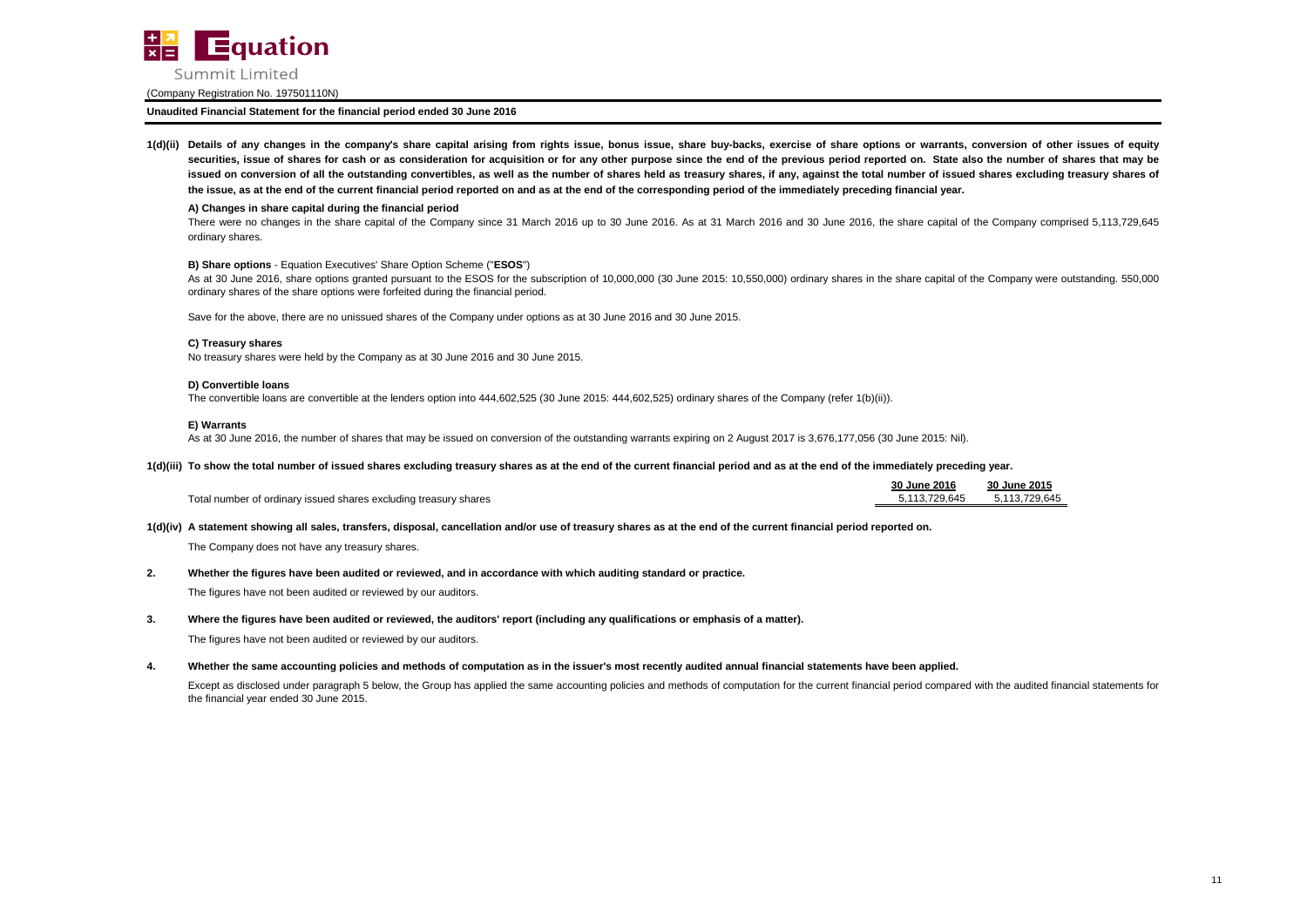

**Unaudited Financial Statement for the financial period ended 30 June 2016**

1(d)(ii) Details of any changes in the company's share capital arising from rights issue, bonus issue, share buy-backs, exercise of share options or warrants, conversion of other issues of equity securities, issue of shares for cash or as consideration for acquisition or for any other purpose since the end of the previous period reported on. State also the number of shares that may be issued on conversion of all the outstanding convertibles, as well as the number of shares held as treasury shares, if any, against the total number of issued shares excluding treasury shares of **the issue, as at the end of the current financial period reported on and as at the end of the corresponding period of the immediately preceding financial year.**

#### **A) Changes in share capital during the financial period**

There were no changes in the share capital of the Company since 31 March 2016 up to 30 June 2016. As at 31 March 2016 and 30 June 2016, the share capital of the Company comprised 5,113,729,645 ordinary shares.

#### **B) Share options** - Equation Executives' Share Option Scheme ("**ESOS**")

As at 30 June 2016, share options granted pursuant to the ESOS for the subscription of 10,000,000 (30 June 2015: 10,550,000) ordinary shares in the share capital of the Company were outstanding. 550,000 ordinary shares of the share options were forfeited during the financial period.

Save for the above, there are no unissued shares of the Company under options as at 30 June 2016 and 30 June 2015.

#### **C) Treasury shares**

No treasury shares were held by the Company as at 30 June 2016 and 30 June 2015.

#### **D) Convertible loans**

The convertible loans are convertible at the lenders option into 444,602,525 (30 June 2015: 444,602,525) ordinary shares of the Company (refer 1(b)(ii)).

#### **E) Warrants**

As at 30 June 2016, the number of shares that may be issued on conversion of the outstanding warrants expiring on 2 August 2017 is 3,676,177,056 (30 June 2015: Nil).

#### **1(d)(iii) To show the total number of issued shares excluding treasury shares as at the end of the current financial period and as at the end of the immediately preceding year.**

|                                                                  | 30 June 2016  | 30 June 2015  |
|------------------------------------------------------------------|---------------|---------------|
| Total number of ordinary issued shares excluding treasury shares | 5.113.729.645 | 5.113.729.645 |

**1(d)(iv) A statement showing all sales, transfers, disposal, cancellation and/or use of treasury shares as at the end of the current financial period reported on.**

The Company does not have any treasury shares.

#### **2. Whether the figures have been audited or reviewed, and in accordance with which auditing standard or practice.**

The figures have not been audited or reviewed by our auditors.

#### **3. Where the figures have been audited or reviewed, the auditors' report (including any qualifications or emphasis of a matter).**

The figures have not been audited or reviewed by our auditors.

#### **4. Whether the same accounting policies and methods of computation as in the issuer's most recently audited annual financial statements have been applied.**

Except as disclosed under paragraph 5 below, the Group has applied the same accounting policies and methods of computation for the current financial period compared with the audited financial statements for the financial year ended 30 June 2015.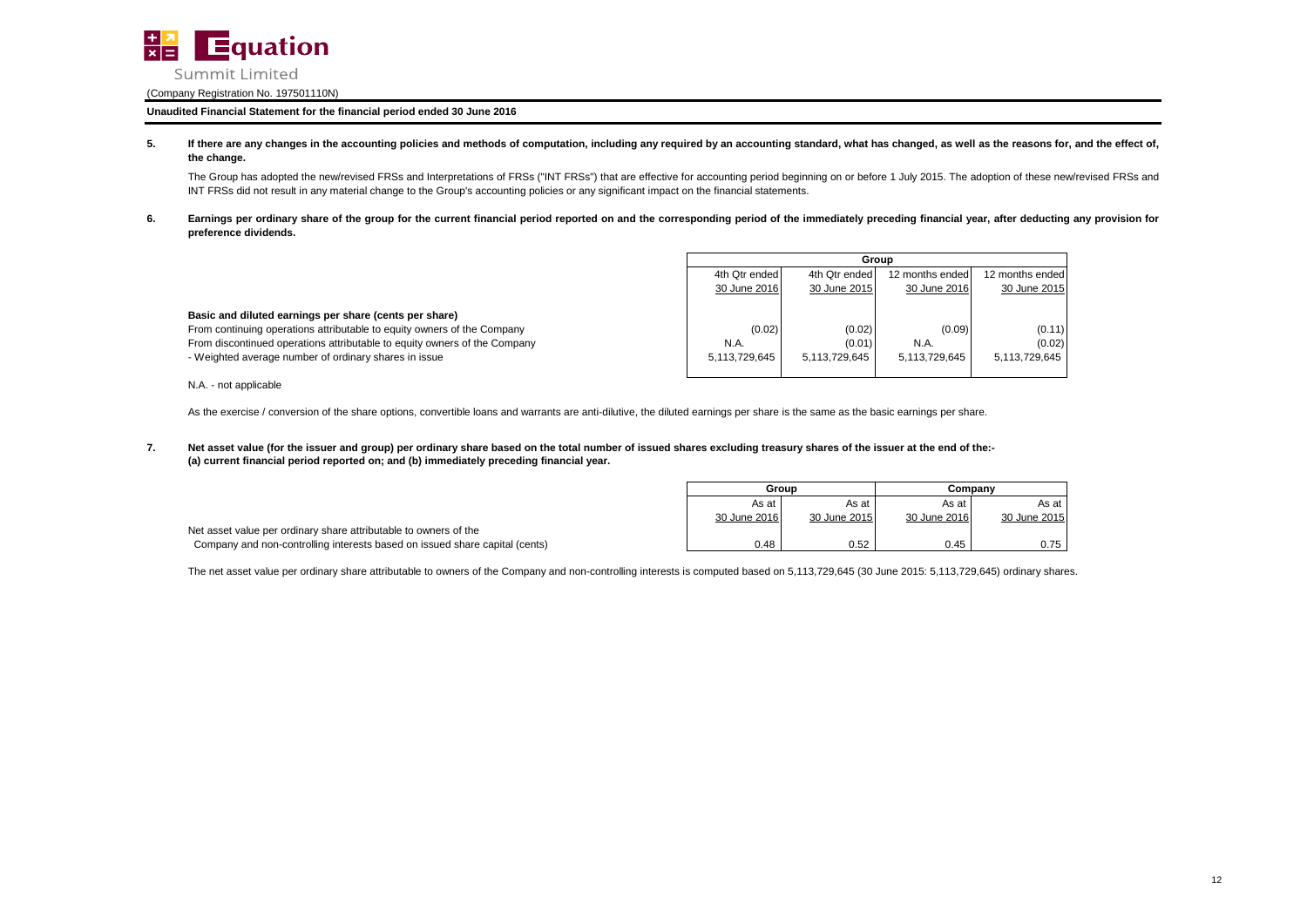

### **Unaudited Financial Statement for the financial period ended 30 June 2016**

**5.** If there are any changes in the accounting policies and methods of computation, including any required by an accounting standard, what has changed, as well as the reasons for, and the effect of, **the change.**

The Group has adopted the new/revised FRSs and Interpretations of FRSs ("INT FRSs") that are effective for accounting period beginning on or before 1 July 2015. The adoption of these new/revised FRSs and INT FRSs did not result in any material change to the Group's accounting policies or any significant impact on the financial statements.

**6.** Earnings per ordinary share of the group for the current financial period reported on and the corresponding period of the immediately preceding financial year, after deducting any provision for **preference dividends.**

|                                                                           |               | Group                                                                |               |               |  |  |
|---------------------------------------------------------------------------|---------------|----------------------------------------------------------------------|---------------|---------------|--|--|
|                                                                           |               | 4th Qtr ended<br>12 months ended<br>4th Qtr ended<br>12 months ended |               |               |  |  |
|                                                                           | 30 June 2016  | 30 June 2015                                                         | 30 June 2016  | 30 June 2015  |  |  |
| Basic and diluted earnings per share (cents per share)                    |               |                                                                      |               |               |  |  |
| From continuing operations attributable to equity owners of the Company   | (0.02)        | (0.02)                                                               | (0.09)        | (0.11)        |  |  |
| From discontinued operations attributable to equity owners of the Company | N.A.          | (0.01)                                                               | N.A.          | (0.02)        |  |  |
| - Weighted average number of ordinary shares in issue                     | 5,113,729,645 | 5.113.729.645                                                        | 5.113.729.645 | 5,113,729,645 |  |  |
| N.A. - not applicable                                                     |               |                                                                      |               |               |  |  |

As the exercise / conversion of the share options, convertible loans and warrants are anti-dilutive, the diluted earnings per share is the same as the basic earnings per share.

**7. (a) current financial period reported on; and (b) immediately preceding financial year. Net asset value (for the issuer and group) per ordinary share based on the total number of issued shares excluding treasury shares of the issuer at the end of the:-**

|                                                                             | Group        |              | Companv      |              |
|-----------------------------------------------------------------------------|--------------|--------------|--------------|--------------|
|                                                                             | As at        | As at        | As at        | As at        |
|                                                                             | 30 June 2016 | 30 June 2015 | 30 June 2016 | 30 June 2015 |
| Net asset value per ordinary share attributable to owners of the            |              |              |              |              |
| Company and non-controlling interests based on issued share capital (cents) | 0.48         | 0.52         | 0.45         | 0.75         |

The net asset value per ordinary share attributable to owners of the Company and non-controlling interests is computed based on 5,113,729,645 (30 June 2015: 5,113,729,645) ordinary shares.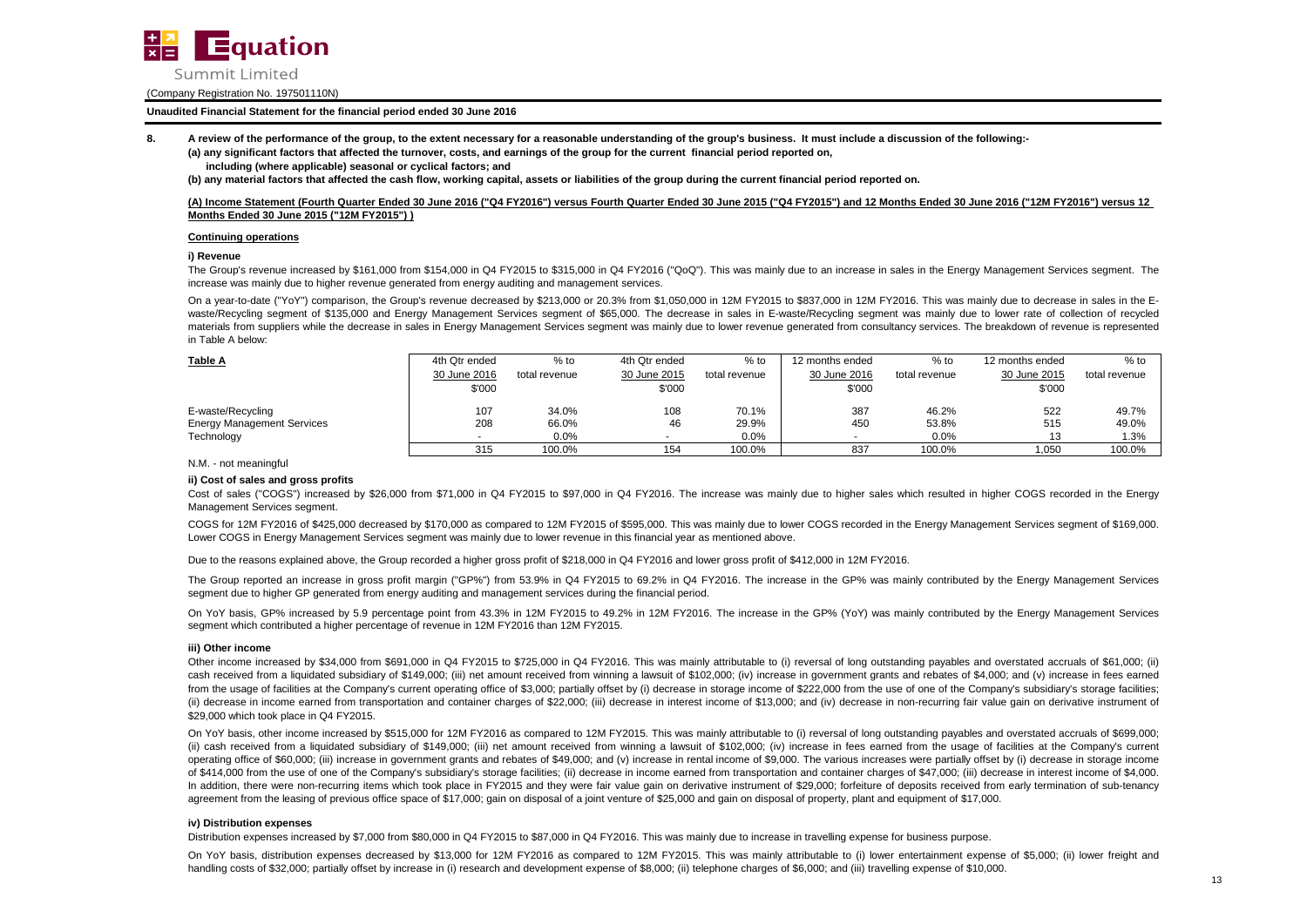

### **Unaudited Financial Statement for the financial period ended 30 June 2016**

**8. A review of the performance of the group, to the extent necessary for a reasonable understanding of the group's business. It must include a discussion of the following:-**

**(a) any significant factors that affected the turnover, costs, and earnings of the group for the current financial period reported on, including (where applicable) seasonal or cyclical factors; and**

**(b) any material factors that affected the cash flow, working capital, assets or liabilities of the group during the current financial period reported on.**

### **(A) Income Statement (Fourth Quarter Ended 30 June 2016 ("Q4 FY2016") versus Fourth Quarter Ended 30 June 2015 ("Q4 FY2015") and 12 Months Ended 30 June 2016 ("12M FY2016") versus 12 Months Ended 30 June 2015 ("12M FY2015") )**

#### **Continuing operations**

#### **i) Revenue**

The Group's revenue increased by \$161,000 from \$154,000 in Q4 FY2015 to \$315,000 in Q4 FY2016 ("QoQ"). This was mainly due to an increase in sales in the Energy Management Services segment. The increase was mainly due to higher revenue generated from energy auditing and management services.

On a year-to-date ("YoY") comparison, the Group's revenue decreased by \$213,000 or 20.3% from \$1,050,000 in 12M FY2015 to \$837,000 in 12M FY2016. This was mainly due to decrease in sales in the Ewaste/Recycling segment of \$135,000 and Energy Management Services segment of \$65,000. The decrease in sales in E-waste/Recycling segment was mainly due to lower rate of collection of recycled materials from suppliers while the decrease in sales in Energy Management Services segment was mainly due to lower revenue generated from consultancy services. The breakdown of revenue is represented in Table A below:

| Table A                           | 4th Otr ended | $%$ to        | 4th Qtr ended | $%$ to        | 12 months ended | $%$ to        | 12 months ended | $%$ to        |
|-----------------------------------|---------------|---------------|---------------|---------------|-----------------|---------------|-----------------|---------------|
|                                   | 30 June 2016  | total revenue | 30 June 2015  | total revenue | 30 June 2016    | total revenue | 30 June 2015    | total revenue |
|                                   | \$'000        |               | \$'000        |               | \$'000          |               | \$'000          |               |
| E-waste/Recycling                 | 107           | 34.0%         | 108           | 70.1%         | 387             | 46.2%         | 522             | 49.7%         |
| <b>Energy Management Services</b> | 208           | 66.0%         | 46            | 29.9%         | 450             | 53.8%         | 515             | 49.0%         |
| Technology                        |               | 0.0%          |               | 0.0%          |                 | 0.0%          | 12              | 1.3%          |
|                                   | 315           | 100.0%        | 154           | 100.0%        | 837             | 100.0%        | 1.050           | 100.0%        |

N.M. - not meaningful

#### **ii) Cost of sales and gross profits**

Cost of sales ("COGS") increased by \$26,000 from \$71,000 in Q4 FY2015 to \$97,000 in Q4 FY2016. The increase was mainly due to higher sales which resulted in higher COGS recorded in the Energy Management Services segment.

COGS for 12M FY2016 of \$425,000 decreased by \$170,000 as compared to 12M FY2015 of \$595,000. This was mainly due to lower COGS recorded in the Energy Management Services segment of \$169,000. Lower COGS in Energy Management Services segment was mainly due to lower revenue in this financial year as mentioned above.

Due to the reasons explained above, the Group recorded a higher gross profit of \$218,000 in Q4 FY2016 and lower gross profit of \$412,000 in 12M FY2016.

The Group reported an increase in gross profit margin ("GP%") from 53.9% in Q4 FY2015 to 69.2% in Q4 FY2016. The increase in the GP% was mainly contributed by the Energy Management Services segment due to higher GP generated from energy auditing and management services during the financial period.

On YoY basis, GP% increased by 5.9 percentage point from 43.3% in 12M FY2015 to 49.2% in 12M FY2016. The increase in the GP% (YoY) was mainly contributed by the Energy Management Services segment which contributed a higher percentage of revenue in 12M FY2016 than 12M FY2015.

#### **iii) Other income**

Other income increased by \$34,000 from \$691,000 in Q4 FY2015 to \$725,000 in Q4 FY2016. This was mainly attributable to (i) reversal of long outstanding payables and overstated accruals of \$61,000; (ii) cash received from a liquidated subsidiary of \$149,000; (iii) net amount received from winning a lawsuit of \$102,000; (iv) increase in government grants and rebates of \$4,000; and (v) increase in fees earned from the usage of facilities at the Company's current operating office of \$3,000; partially offset by (i) decrease in storage income of \$222,000 from the use of one of the Company's subsidiary's storage facilities; (ii) decrease in income earned from transportation and container charges of \$22,000; (iii) decrease in interest income of \$13,000; and (iv) decrease in non-recurring fair value gain on derivative instrument of \$29,000 which took place in Q4 FY2015.

On YoY basis, other income increased by \$515,000 for 12M FY2016 as compared to 12M FY2015. This was mainly attributable to (i) reversal of long outstanding payables and overstated accruals of \$699,000; (ii) cash received from a liquidated subsidiary of \$149,000; (iii) net amount received from winning a lawsuit of \$102,000; (iv) increase in fees earned from the usage of facilities at the Company's current operating office of \$60,000; (iii) increase in government grants and rebates of \$49,000; and (v) increase in rental income of \$9,000. The various increases were partially offset by (i) decrease in storage income of \$414,000 from the use of one of the Company's subsidiary's storage facilities; (ii) decrease in income earned from transportation and container charges of \$47,000; (iii) decrease in interest income of \$4,000. In addition, there were non-recurring items which took place in FY2015 and they were fair value gain on derivative instrument of \$29,000; forfeiture of deposits received from early termination of sub-tenancy agreement from the leasing of previous office space of \$17,000; gain on disposal of a joint venture of \$25,000 and gain on disposal of property, plant and equipment of \$17,000.

#### **iv) Distribution expenses**

Distribution expenses increased by \$7,000 from \$80,000 in Q4 FY2015 to \$87,000 in Q4 FY2016. This was mainly due to increase in travelling expense for business purpose.

On YoY basis, distribution expenses decreased by \$13,000 for 12M FY2016 as compared to 12M FY2015. This was mainly attributable to (i) lower entertainment expense of \$5,000; (ii) lower freight and handling costs of \$32,000; partially offset by increase in (i) research and development expense of \$8,000; (ii) telephone charges of \$6,000; and (iii) travelling expense of \$10,000.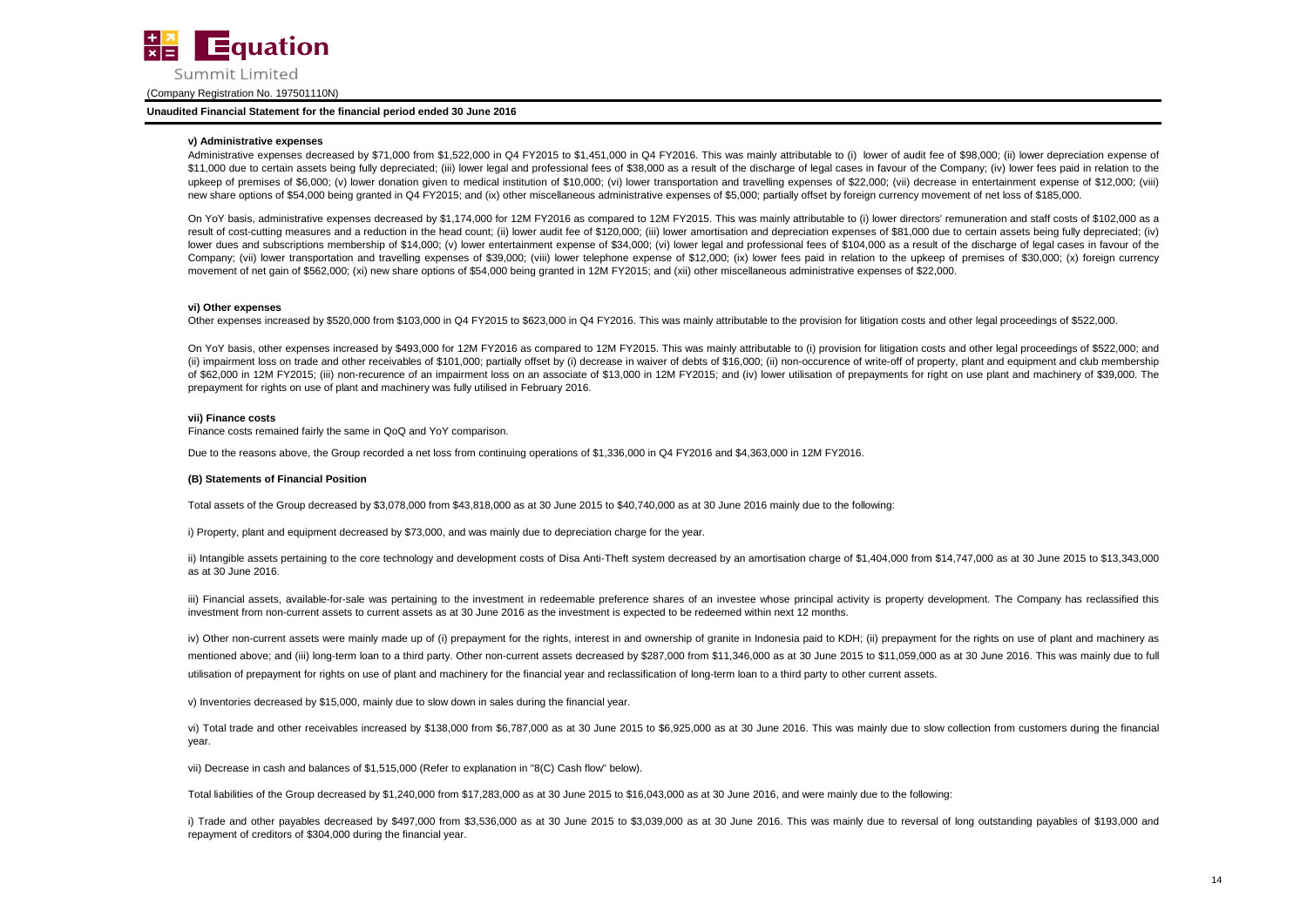

#### **Unaudited Financial Statement for the financial period ended 30 June 2016**

#### **v) Administrative expenses**

Administrative expenses decreased by \$71,000 from \$1,522,000 in Q4 FY2015 to \$1,451,000 in Q4 FY2016. This was mainly attributable to (i) lower of audit fee of \$98,000; (ii) lower depreciation expense of \$11,000 due to certain assets being fully depreciated; (iii) lower legal and professional fees of \$38,000 as a result of the discharge of legal cases in favour of the Company; (iv) lower fees paid in relation to the upkeep of premises of \$6,000; (v) lower donation given to medical institution of \$10,000; (vi) lower transportation and travelling expenses of \$22,000; (vii) decrease in entertainment expense of \$12,000; (viii) new share options of \$54,000 being granted in Q4 FY2015; and (ix) other miscellaneous administrative expenses of \$5,000; partially offset by foreign currency movement of net loss of \$185,000.

On YoY basis, administrative expenses decreased by \$1,174,000 for 12M FY2016 as compared to 12M FY2015. This was mainly attributable to (i) lower directors' remuneration and staff costs of \$102,000 as a result of cost-cutting measures and a reduction in the head count; (ii) lower audit fee of \$120,000; (iii) lower amortisation and depreciation expenses of \$81,000 due to certain assets being fully depreciated; (iv) lower dues and subscriptions membership of \$14,000; (v) lower entertainment expense of \$34,000; (vi) lower legal and professional fees of \$104,000 as a result of the discharge of legal cases in favour of the Company; (vii) lower transportation and travelling expenses of \$39,000; (viii) lower telephone expense of \$12,000; (ix) lower fees paid in relation to the upkeep of premises of \$30,000; (x) foreign currency movement of net gain of \$562,000; (xi) new share options of \$54,000 being granted in 12M FY2015; and (xii) other miscellaneous administrative expenses of \$22,000.

#### **vi) Other expenses**

Other expenses increased by \$520,000 from \$103,000 in Q4 FY2015 to \$623,000 in Q4 FY2016. This was mainly attributable to the provision for litigation costs and other legal proceedings of \$522,000.

On YoY basis, other expenses increased by \$493,000 for 12M FY2016 as compared to 12M FY2015. This was mainly attributable to (i) provision for litigation costs and other legal proceedings of \$522,000; and (ii) impairment loss on trade and other receivables of \$101,000; partially offset by (i) decrease in waiver of debts of \$16,000; (ii) non-occurence of write-off of property, plant and equipment and club membership of \$62,000 in 12M FY2015; (iii) non-recurence of an impairment loss on an associate of \$13,000 in 12M FY2015; and (iv) lower utilisation of prepayments for right on use plant and machinery of \$39,000. The prepayment for rights on use of plant and machinery was fully utilised in February 2016.

#### **vii) Finance costs**

Finance costs remained fairly the same in QoQ and YoY comparison.

Due to the reasons above, the Group recorded a net loss from continuing operations of \$1,336,000 in Q4 FY2016 and \$4,363,000 in 12M FY2016.

#### **(B) Statements of Financial Position**

Total assets of the Group decreased by \$3,078,000 from \$43,818,000 as at 30 June 2015 to \$40,740,000 as at 30 June 2016 mainly due to the following:

i) Property, plant and equipment decreased by \$73,000, and was mainly due to depreciation charge for the year.

ii) Intangible assets pertaining to the core technology and development costs of Disa Anti-Theft system decreased by an amortisation charge of \$1,404,000 from \$14,747,000 as at 30 June 2015 to \$13,343,000 as at 30 June 2016.

iii) Financial assets, available-for-sale was pertaining to the investment in redeemable preference shares of an investee whose principal activity is property development. The Company has reclassified this investment from non-current assets to current assets as at 30 June 2016 as the investment is expected to be redeemed within next 12 months.

iv) Other non-current assets were mainly made up of (i) prepayment for the rights, interest in and ownership of granite in Indonesia paid to KDH; (ii) prepayment for the rights on use of plant and machinery as mentioned above; and (iii) long-term loan to a third party. Other non-current assets decreased by \$287,000 from \$11,346,000 as at 30 June 2015 to \$11,059,000 as at 30 June 2016. This was mainly due to full utilisation of prepayment for rights on use of plant and machinery for the financial year and reclassification of long-term loan to a third party to other current assets.

v) Inventories decreased by \$15,000, mainly due to slow down in sales during the financial year.

vi) Total trade and other receivables increased by \$138,000 from \$6,787,000 as at 30 June 2015 to \$6,925,000 as at 30 June 2016. This was mainly due to slow collection from customers during the financial year.

vii) Decrease in cash and balances of \$1,515,000 (Refer to explanation in "8(C) Cash flow" below).

Total liabilities of the Group decreased by \$1,240,000 from \$17,283,000 as at 30 June 2015 to \$16,043,000 as at 30 June 2016, and were mainly due to the following:

i) Trade and other payables decreased by \$497,000 from \$3,536,000 as at 30 June 2015 to \$3,039,000 as at 30 June 2016. This was mainly due to reversal of long outstanding payables of \$193,000 and repayment of creditors of \$304,000 during the financial year.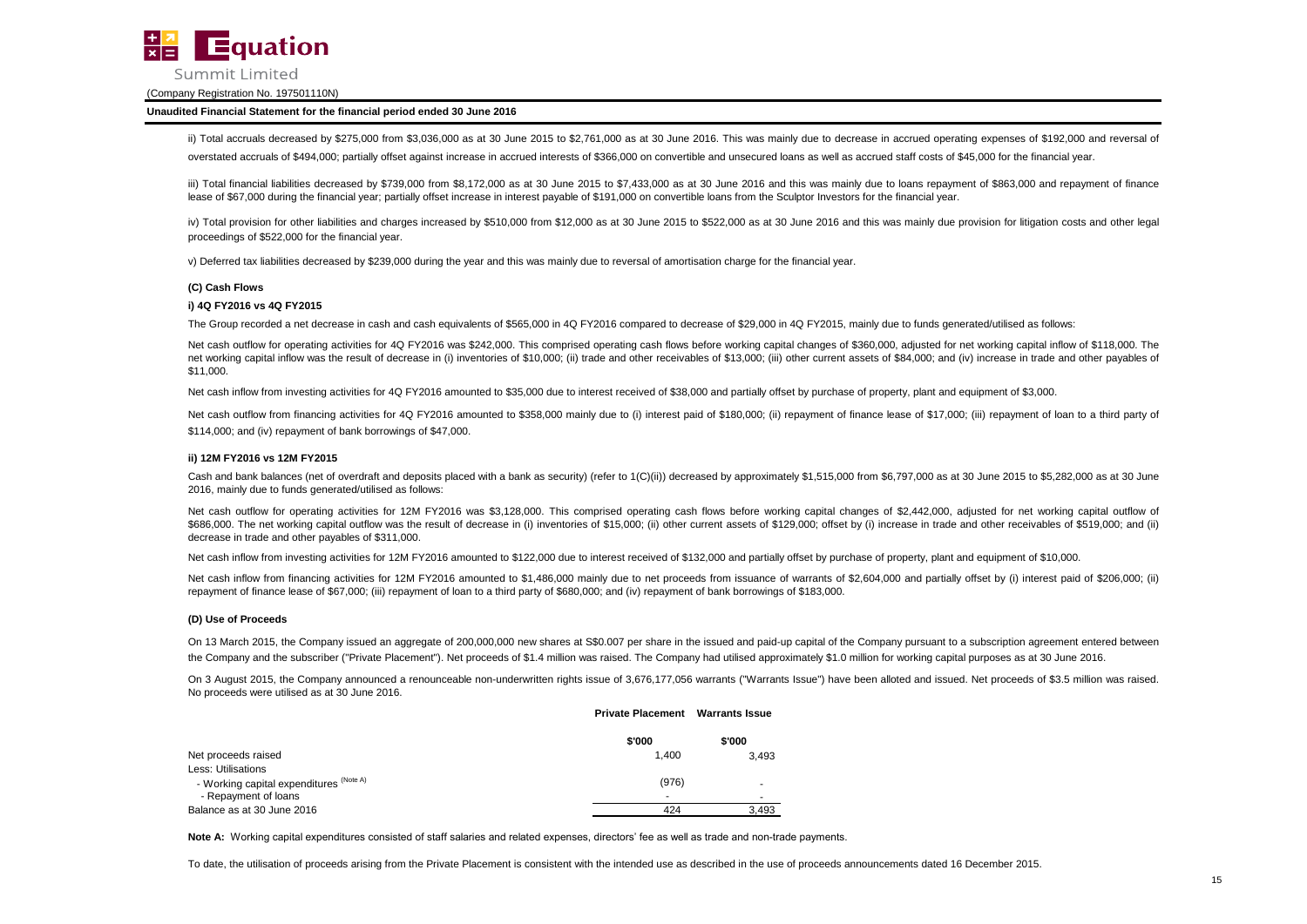

#### **Unaudited Financial Statement for the financial period ended 30 June 2016**

ii) Total accruals decreased by \$275,000 from \$3,036,000 as at 30 June 2015 to \$2,761,000 as at 30 June 2016. This was mainly due to decrease in accrued operating expenses of \$192,000 and reversal of

overstated accruals of \$494,000; partially offset against increase in accrued interests of \$366,000 on convertible and unsecured loans as well as accrued staff costs of \$45,000 for the financial year.

iii) Total financial liabilities decreased by \$739,000 from \$8,172,000 as at 30 June 2015 to \$7,433,000 as at 30 June 2016 and this was mainly due to loans repayment of \$863,000 and repayment of finance lease of \$67,000 during the financial year; partially offset increase in interest payable of \$191,000 on convertible loans from the Sculptor Investors for the financial year.

iv) Total provision for other liabilities and charges increased by \$510,000 from \$12,000 as at 30 June 2015 to \$522,000 as at 30 June 2016 and this was mainly due provision for litigation costs and other legal proceedings of \$522,000 for the financial year.

v) Deferred tax liabilities decreased by \$239,000 during the year and this was mainly due to reversal of amortisation charge for the financial year.

#### **(C) Cash Flows**

#### **i) 4Q FY2016 vs 4Q FY2015**

The Group recorded a net decrease in cash and cash equivalents of \$565,000 in 4Q FY2016 compared to decrease of \$29,000 in 4Q FY2015, mainly due to funds generated/utilised as follows:

Net cash outflow for operating activities for 4Q FY2016 was \$242,000. This comprised operating cash flows before working capital changes of \$360,000, adjusted for net working capital inflow of \$118,000. The net working capital inflow was the result of decrease in (i) inventories of \$10,000; (ii) trade and other receivables of \$13,000; (iii) other current assets of \$84,000; and (iv) increase in trade and other payables of \$11,000.

Net cash inflow from investing activities for 4Q FY2016 amounted to \$35,000 due to interest received of \$38,000 and partially offset by purchase of property, plant and equipment of \$3,000.

Net cash outflow from financing activities for 4Q FY2016 amounted to \$358,000 mainly due to (i) interest paid of \$180,000; (ii) repayment of finance lease of \$17,000; (iii) repayment of loan to a third party of \$114,000; and (iv) repayment of bank borrowings of \$47,000.

#### **ii) 12M FY2016 vs 12M FY2015**

Cash and bank balances (net of overdraft and deposits placed with a bank as security) (refer to 1(C)(ii)) decreased by approximately \$1,515,000 from \$6,797,000 as at 30 June 2015 to \$5,282,000 as at 30 June 2016, mainly due to funds generated/utilised as follows:

Net cash outflow for operating activities for 12M FY2016 was \$3,128,000. This comprised operating cash flows before working capital changes of \$2,442,000, adjusted for net working capital outflow of \$686,000. The net working capital outflow was the result of decrease in (i) inventories of \$15,000; (ii) other current assets of \$129,000; offset by (i) increase in trade and other receivables of \$519,000; and (ii) decrease in trade and other payables of \$311,000.

Net cash inflow from investing activities for 12M FY2016 amounted to \$122,000 due to interest received of \$132,000 and partially offset by purchase of property, plant and equipment of \$10,000.

Net cash inflow from financing activities for 12M FY2016 amounted to \$1,486,000 mainly due to net proceeds from issuance of warrants of \$2,604,000 and partially offset by (i) interest paid of \$206,000; (ii) repayment of finance lease of \$67,000; (iii) repayment of loan to a third party of \$680,000; and (iv) repayment of bank borrowings of \$183,000.

#### **(D) Use of Proceeds**

On 13 March 2015, the Company issued an aggregate of 200,000,000 new shares at S\$0,007 per share in the issued and paid-up capital of the Company pursuant to a subscription agreement entered between the Company and the subscriber ("Private Placement"). Net proceeds of \$1.4 million was raised. The Company had utilised approximately \$1.0 million for working capital purposes as at 30 June 2016.

On 3 August 2015, the Company announced a renounceable non-underwritten rights issue of 3,676,177,056 warrants ("Warrants Issue") have been alloted and issued. Net proceeds of \$3.5 million was raised. No proceeds were utilised as at 30 June 2016.

|                                         | <b>Private Placement Warrants Issue</b> |        |
|-----------------------------------------|-----------------------------------------|--------|
|                                         | \$'000                                  | \$'000 |
| Net proceeds raised                     | 1.400                                   | 3.493  |
| Less: Utilisations                      |                                         |        |
| - Working capital expenditures (Note A) | (976)                                   |        |
| - Repayment of loans                    |                                         |        |
| Balance as at 30 June 2016              | 424                                     | 3,493  |

Note A: Working capital expenditures consisted of staff salaries and related expenses, directors' fee as well as trade and non-trade payments.

To date, the utilisation of proceeds arising from the Private Placement is consistent with the intended use as described in the use of proceeds announcements dated 16 December 2015.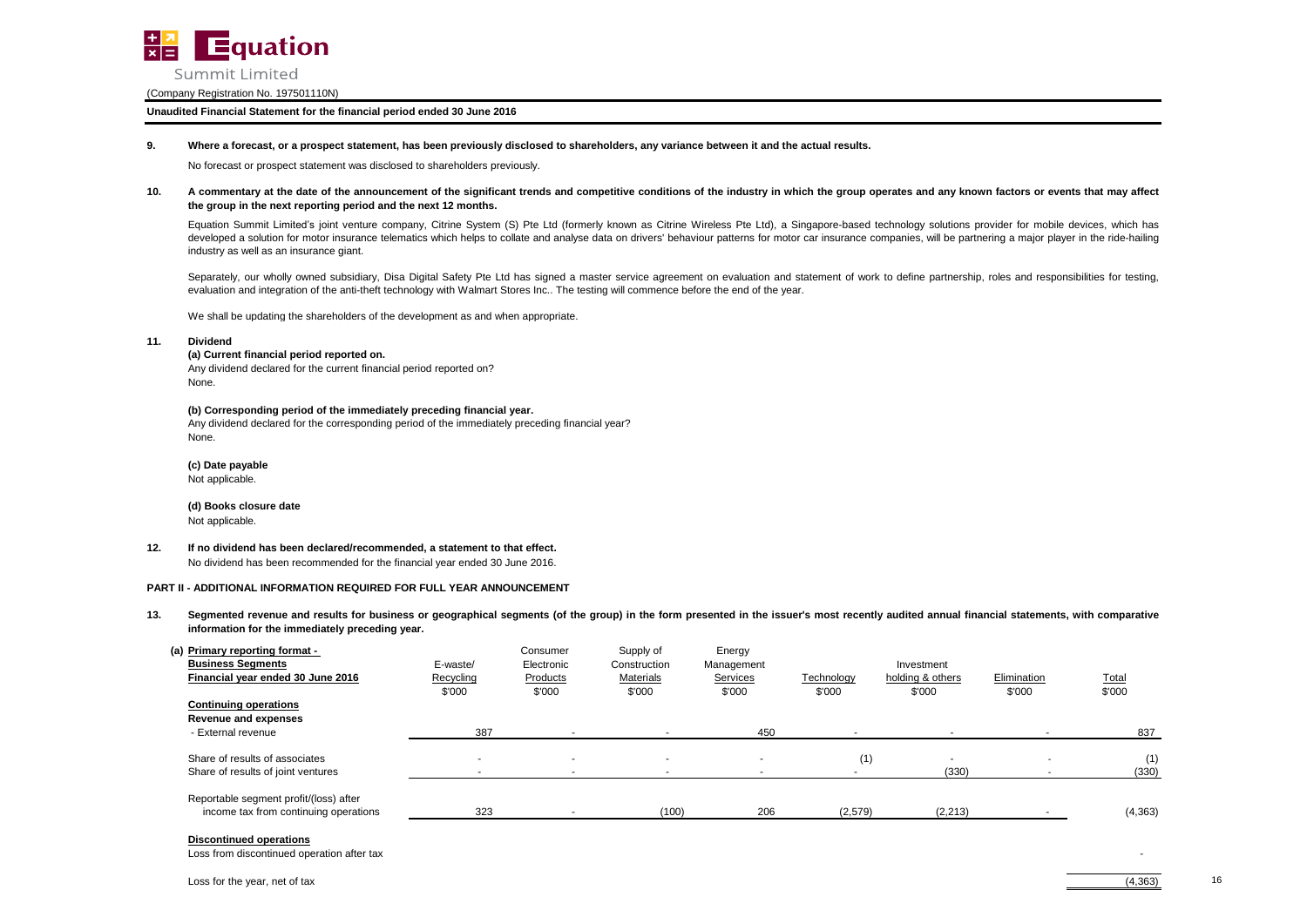

#### **Unaudited Financial Statement for the financial period ended 30 June 2016**

#### **9. Where a forecast, or a prospect statement, has been previously disclosed to shareholders, any variance between it and the actual results.**

No forecast or prospect statement was disclosed to shareholders previously.

#### **10.** A commentary at the date of the announcement of the significant trends and competitive conditions of the industry in which the group operates and any known factors or events that may affect **the group in the next reporting period and the next 12 months.**

Equation Summit Limited's joint venture company, Citrine System (S) Pte Ltd (formerly known as Citrine Wireless Pte Ltd), a Singapore-based technology solutions provider for mobile devices, which has developed a solution for motor insurance telematics which helps to collate and analyse data on drivers' behaviour patterns for motor car insurance companies, will be partnering a major player in the ride-hailing industry as well as an insurance giant.

Separately, our wholly owned subsidiary. Disa Digital Safety Pte Ltd has signed a master service agreement on evaluation and statement of work to define partnership, roles and responsibilities for testing. evaluation and integration of the anti-theft technology with Walmart Stores Inc.. The testing will commence before the end of the year.

We shall be updating the shareholders of the development as and when appropriate.

#### **11. Dividend**

### **(a) Current financial period reported on.**

Any dividend declared for the current financial period reported on? None.

#### **(b) Corresponding period of the immediately preceding financial year.**

Any dividend declared for the corresponding period of the immediately preceding financial year? None.

**(c) Date payable** Not applicable.

**(d) Books closure date** Not applicable.

### **12. If no dividend has been declared/recommended, a statement to that effect.**

No dividend has been recommended for the financial year ended 30 June 2016.

#### **PART II - ADDITIONAL INFORMATION REQUIRED FOR FULL YEAR ANNOUNCEMENT**

**13.** Segmented revenue and results for business or geographical segments (of the group) in the form presented in the issuer's most recently audited annual financial statements, with comparative **information for the immediately preceding year.**

| (a) Primary reporting format -<br><b>Business Segments</b><br>Financial year ended 30 June 2016<br><b>Continuing operations</b> | E-waste/<br>Recycling<br>\$'000 | Consumer<br>Electronic<br>Products<br>\$'000 | Supply of<br>Construction<br>Materials<br>\$'000 | Energy<br>Management<br>Services<br>\$'000 | Technology<br>\$'000 | Investment<br>holding & others<br>\$'000 | Elimination<br>\$'000 | <b>Total</b><br>\$'000 |
|---------------------------------------------------------------------------------------------------------------------------------|---------------------------------|----------------------------------------------|--------------------------------------------------|--------------------------------------------|----------------------|------------------------------------------|-----------------------|------------------------|
| Revenue and expenses<br>- External revenue                                                                                      | 387                             |                                              |                                                  | 450                                        |                      |                                          |                       | 837                    |
| Share of results of associates<br>Share of results of joint ventures                                                            |                                 |                                              |                                                  |                                            | (1)                  | $\overline{\phantom{a}}$<br>(330)        |                       | (1)<br>(330)           |
| Reportable segment profit/(loss) after<br>income tax from continuing operations                                                 | 323                             |                                              | (100)                                            | 206                                        | (2,579)              | (2, 213)                                 |                       | (4, 363)               |

#### **Discontinued operations**

Loss from discontinued operation after tax

16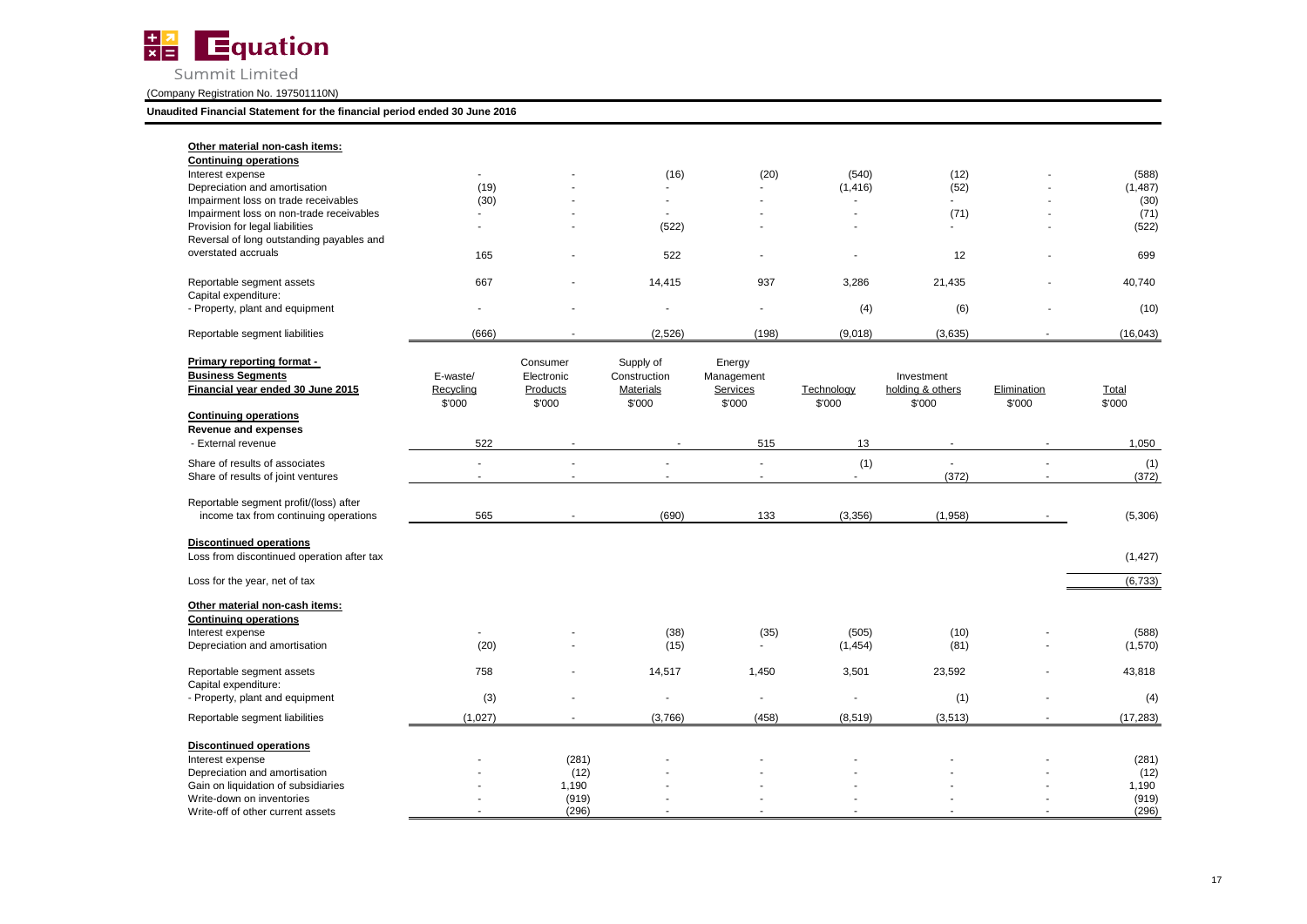

**Unaudited Financial Statement for the financial period ended 30 June 2016**

| Other material non-cash items:<br><b>Continuing operations</b>                              |                                 |                                              |                                                         |                                            |                      |                                          |                       |                 |
|---------------------------------------------------------------------------------------------|---------------------------------|----------------------------------------------|---------------------------------------------------------|--------------------------------------------|----------------------|------------------------------------------|-----------------------|-----------------|
| Interest expense                                                                            | a.                              |                                              | (16)                                                    | (20)                                       | (540)                | (12)                                     |                       | (588)           |
| Depreciation and amortisation                                                               | (19)                            |                                              |                                                         |                                            | (1, 416)             | (52)                                     |                       | (1, 487)        |
| Impairment loss on trade receivables                                                        | (30)                            |                                              | ÷.                                                      |                                            | ÷.                   | a.                                       |                       | (30)            |
| Impairment loss on non-trade receivables<br>Provision for legal liabilities                 | ÷.                              | $\overline{a}$                               | (522)                                                   | ÷                                          | ٠                    | (71)                                     |                       | (71)<br>(522)   |
| Reversal of long outstanding payables and                                                   |                                 |                                              |                                                         |                                            |                      |                                          |                       |                 |
| overstated accruals                                                                         | 165                             |                                              | 522                                                     |                                            |                      | 12                                       |                       | 699             |
| Reportable segment assets<br>Capital expenditure:                                           | 667                             |                                              | 14,415                                                  | 937                                        | 3,286                | 21,435                                   |                       | 40,740          |
| - Property, plant and equipment                                                             |                                 |                                              |                                                         |                                            | (4)                  | (6)                                      |                       | (10)            |
| Reportable segment liabilities                                                              | (666)                           |                                              | (2,526)                                                 | (198)                                      | (9,018)              | (3,635)                                  |                       | (16,043)        |
| Primary reporting format -<br><b>Business Segments</b><br>Financial year ended 30 June 2015 | E-waste/<br>Recycling<br>\$'000 | Consumer<br>Electronic<br>Products<br>\$'000 | Supply of<br>Construction<br><b>Materials</b><br>\$'000 | Energy<br>Management<br>Services<br>\$'000 | Technology<br>\$'000 | Investment<br>holding & others<br>\$'000 | Elimination<br>\$'000 | Total<br>\$'000 |
| <b>Continuing operations</b>                                                                |                                 |                                              |                                                         |                                            |                      |                                          |                       |                 |
| <b>Revenue and expenses</b><br>- External revenue                                           | 522                             |                                              |                                                         | 515                                        | 13                   | $\sim$                                   |                       | 1,050           |
| Share of results of associates                                                              | ä,                              |                                              |                                                         |                                            | (1)                  | $\sim$                                   |                       | (1)             |
| Share of results of joint ventures                                                          | $\sim$                          | $\sim$                                       | $\blacksquare$                                          | ÷.                                         | $\sim$               | (372)                                    | $\sim$                | (372)           |
|                                                                                             |                                 |                                              |                                                         |                                            |                      |                                          |                       |                 |
| Reportable segment profit/(loss) after<br>income tax from continuing operations             | 565                             |                                              | (690)                                                   | 133                                        | (3, 356)             | (1,958)                                  |                       | (5,306)         |
| <b>Discontinued operations</b><br>Loss from discontinued operation after tax                |                                 |                                              |                                                         |                                            |                      |                                          |                       | (1, 427)        |
| Loss for the year, net of tax                                                               |                                 |                                              |                                                         |                                            |                      |                                          |                       | (6, 733)        |
| Other material non-cash items:<br><b>Continuing operations</b>                              |                                 |                                              |                                                         |                                            |                      |                                          |                       |                 |
| Interest expense                                                                            | $\sim$                          |                                              | (38)                                                    | (35)                                       | (505)                | (10)                                     |                       | (588)           |
| Depreciation and amortisation                                                               | (20)                            |                                              | (15)                                                    |                                            | (1,454)              | (81)                                     |                       | (1,570)         |
| Reportable segment assets                                                                   | 758                             |                                              | 14,517                                                  | 1,450                                      | 3,501                | 23,592                                   |                       | 43,818          |
| Capital expenditure:<br>- Property, plant and equipment                                     | (3)                             |                                              | $\blacksquare$                                          | ÷,                                         |                      | (1)                                      |                       | (4)             |
| Reportable segment liabilities                                                              | (1,027)                         |                                              | (3,766)                                                 | (458)                                      | (8, 519)             | (3, 513)                                 |                       | (17, 283)       |
|                                                                                             |                                 |                                              |                                                         |                                            |                      |                                          |                       |                 |
| <b>Discontinued operations</b>                                                              |                                 |                                              |                                                         |                                            |                      |                                          |                       |                 |
| Interest expense                                                                            |                                 | (281)                                        |                                                         |                                            |                      |                                          |                       | (281)           |
| Depreciation and amortisation                                                               |                                 | (12)                                         |                                                         |                                            |                      |                                          |                       | (12)            |
| Gain on liquidation of subsidiaries<br>Write-down on inventories                            |                                 | 1,190<br>(919)                               |                                                         |                                            |                      |                                          |                       | 1,190<br>(919)  |
| Write-off of other current assets                                                           |                                 | (296)                                        |                                                         |                                            |                      |                                          |                       | (296)           |